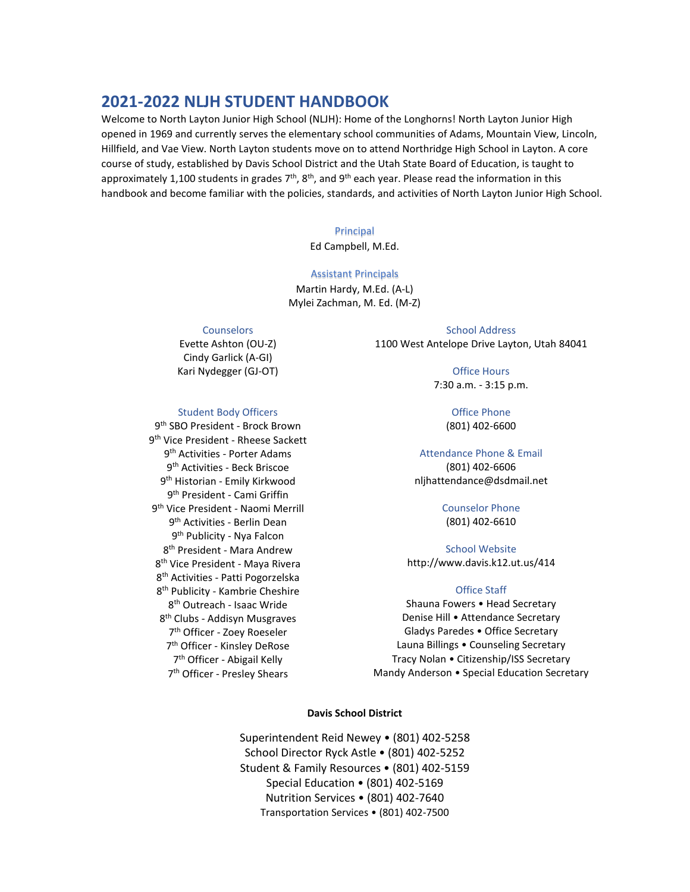# **2021-2022 NLJH STUDENT HANDBOOK**

Welcome to North Layton Junior High School (NLJH): Home of the Longhorns! North Layton Junior High opened in 1969 and currently serves the elementary school communities of Adams, Mountain View, Lincoln, Hillfield, and Vae View. North Layton students move on to attend Northridge High School in Layton. A core course of study, established by Davis School District and the Utah State Board of Education, is taught to approximately 1,100 students in grades  $7<sup>th</sup>$ , 8<sup>th</sup>, and 9<sup>th</sup> each year. Please read the information in this handbook and become familiar with the policies, standards, and activities of North Layton Junior High School.

#### Principal

Ed Campbell, M.Ed.

#### Assistant Principals

Martin Hardy, M.Ed. (A-L) Mylei Zachman, M. Ed. (M-Z)

#### **Counselors**

Evette Ashton (OU-Z) Cindy Garlick (A-GI) Kari Nydegger (GJ-OT)

#### Student Body Officers

9th SBO President - Brock Brown 9th Vice President - Rheese Sackett 9th Activities - Porter Adams 9th Activities - Beck Briscoe 9<sup>th</sup> Historian - Emily Kirkwood 9th President - Cami Griffin 9th Vice President - Naomi Merrill 9th Activities - Berlin Dean 9th Publicity - Nya Falcon 8th President - Mara Andrew 8<sup>th</sup> Vice President - Maya Rivera 8th Activities - Patti Pogorzelska 8th Publicity - Kambrie Cheshire 8th Outreach - Isaac Wride 8th Clubs - Addisyn Musgraves 7th Officer - Zoey Roeseler 7th Officer - Kinsley DeRose 7th Officer - Abigail Kelly 7th Officer - Presley Shears

School Address 1100 West Antelope Drive Layton, Utah 84041

> Office Hours 7:30 a.m. - 3:15 p.m.

> > Office Phone (801) 402-6600

# Attendance Phone & Email

(801) 402-6606 nljhattendance@dsdmail.net

#### Counselor Phone (801) 402-6610

School Website http://www.davis.k12.ut.us/414

#### Office Staff

Shauna Fowers • Head Secretary Denise Hill • Attendance Secretary Gladys Paredes • Office Secretary Launa Billings • Counseling Secretary Tracy Nolan • Citizenship/ISS Secretary Mandy Anderson • Special Education Secretary

## **Davis School District**

Superintendent Reid Newey • (801) 402-5258 School Director Ryck Astle • (801) 402-5252 Student & Family Resources • (801) 402-5159 Special Education • (801) 402-5169 Nutrition Services • (801) 402-7640 Transportation Services • (801) 402-7500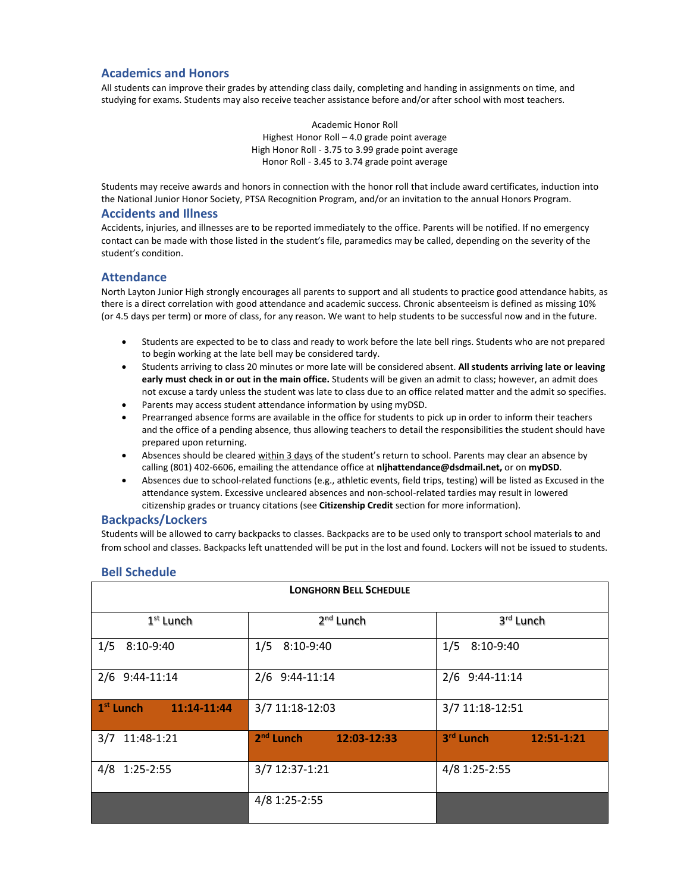## **Academics and Honors**

All students can improve their grades by attending class daily, completing and handing in assignments on time, and studying for exams. Students may also receive teacher assistance before and/or after school with most teachers.

> Academic Honor Roll Highest Honor Roll – 4.0 grade point average High Honor Roll - 3.75 to 3.99 grade point average Honor Roll - 3.45 to 3.74 grade point average

Students may receive awards and honors in connection with the honor roll that include award certificates, induction into the National Junior Honor Society, PTSA Recognition Program, and/or an invitation to the annual Honors Program.

### **Accidents and Illness**

Accidents, injuries, and illnesses are to be reported immediately to the office. Parents will be notified. If no emergency contact can be made with those listed in the student's file, paramedics may be called, depending on the severity of the student's condition.

## **Attendance**

North Layton Junior High strongly encourages all parents to support and all students to practice good attendance habits, as there is a direct correlation with good attendance and academic success. Chronic absenteeism is defined as missing 10% (or 4.5 days per term) or more of class, for any reason. We want to help students to be successful now and in the future.

- Students are expected to be to class and ready to work before the late bell rings. Students who are not prepared to begin working at the late bell may be considered tardy.
- Students arriving to class 20 minutes or more late will be considered absent. **All students arriving late or leaving early must check in or out in the main office.** Students will be given an admit to class; however, an admit does not excuse a tardy unless the student was late to class due to an office related matter and the admit so specifies.
- Parents may access student attendance information by using myDSD.
- Prearranged absence forms are available in the office for students to pick up in order to inform their teachers and the office of a pending absence, thus allowing teachers to detail the responsibilities the student should have prepared upon returning.
- Absences should be cleared within 3 days of the student's return to school. Parents may clear an absence by calling (801) 402-6606, emailing the attendance office at **nljhattendance@dsdmail.net,** or on **myDSD**.
- Absences due to school-related functions (e.g., athletic events, field trips, testing) will be listed as Excused in the attendance system. Excessive uncleared absences and non-school-related tardies may result in lowered citizenship grades or truancy citations (see **Citizenship Credit** section for more information).

### **Backpacks/Lockers**

Students will be allowed to carry backpacks to classes. Backpacks are to be used only to transport school materials to and from school and classes. Backpacks left unattended will be put in the lost and found. Lockers will not be issued to students.

| <b>LONGHORN BELL SCHEDULE</b> |                            |                         |  |  |  |  |  |  |  |
|-------------------------------|----------------------------|-------------------------|--|--|--|--|--|--|--|
| $1st$ Lunch                   | 2 <sup>nd</sup> Lunch      | 3rd Lunch               |  |  |  |  |  |  |  |
| 1/5<br>8:10-9:40              | $1/5$ 8:10-9:40            | 1/5<br>8:10-9:40        |  |  |  |  |  |  |  |
| 2/6 9:44-11:14                | 2/6 9:44-11:14             | 2/6 9:44-11:14          |  |  |  |  |  |  |  |
| $1st$ Lunch<br>11:14-11:44    | 3/7 11:18-12:03            | 3/7 11:18-12:51         |  |  |  |  |  |  |  |
| 3/7 11:48-1:21                | $2nd$ Lunch<br>12:03-12:33 | 3rd Lunch<br>12:51-1:21 |  |  |  |  |  |  |  |
| 4/8 1:25-2:55                 | 3/7 12:37-1:21             | 4/8 1:25-2:55           |  |  |  |  |  |  |  |
|                               | 4/8 1:25-2:55              |                         |  |  |  |  |  |  |  |

## **Bell Schedule**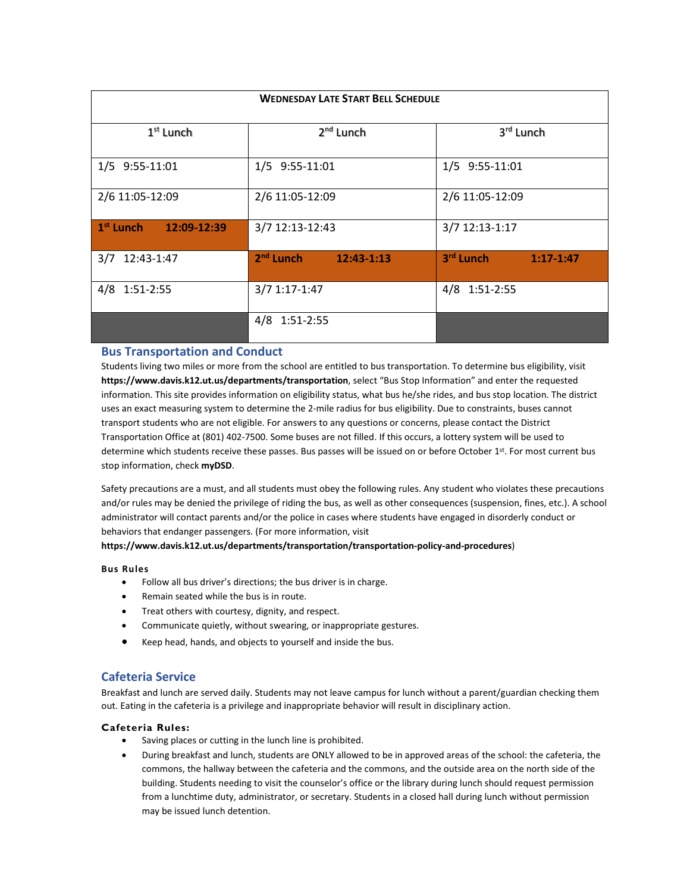| <b>WEDNESDAY LATE START BELL SCHEDULE</b> |                           |                          |  |  |  |  |  |  |  |
|-------------------------------------------|---------------------------|--------------------------|--|--|--|--|--|--|--|
| 1 <sup>st</sup> Lunch                     | 2 <sup>nd</sup> Lunch     | 3 <sup>rd</sup> Lunch    |  |  |  |  |  |  |  |
| 1/5 9:55-11:01                            | 1/5 9:55-11:01            | 1/5 9:55-11:01           |  |  |  |  |  |  |  |
| 2/6 11:05-12:09                           | 2/6 11:05-12:09           | 2/6 11:05-12:09          |  |  |  |  |  |  |  |
| $1st$ Lunch<br>12:09-12:39                | 3/7 12:13-12:43           | 3/7 12:13-1:17           |  |  |  |  |  |  |  |
| 3/7<br>12:43-1:47                         | $2nd$ Lunch<br>12:43-1:13 | 3rd Lunch<br>$1:17-1:47$ |  |  |  |  |  |  |  |
| 4/8 1:51-2:55                             | 3/7 1:17-1:47             | 4/8 1:51-2:55            |  |  |  |  |  |  |  |
|                                           | 4/8 1:51-2:55             |                          |  |  |  |  |  |  |  |

## **Bus Transportation and Conduct**

Students living two miles or more from the school are entitled to bus transportation. To determine bus eligibility, visit **https://www.davis.k12.ut.us/departments/transportation**, select "Bus Stop Information" and enter the requested information. This site provides information on eligibility status, what bus he/she rides, and bus stop location. The district uses an exact measuring system to determine the 2-mile radius for bus eligibility. Due to constraints, buses cannot transport students who are not eligible. For answers to any questions or concerns, please contact the District Transportation Office at (801) 402-7500. Some buses are not filled. If this occurs, a lottery system will be used to determine which students receive these passes. Bus passes will be issued on or before October 1st. For most current bus stop information, check **myDSD**.

Safety precautions are a must, and all students must obey the following rules. Any student who violates these precautions and/or rules may be denied the privilege of riding the bus, as well as other consequences (suspension, fines, etc.). A school administrator will contact parents and/or the police in cases where students have engaged in disorderly conduct or behaviors that endanger passengers. (For more information, visit

**https://www.davis.k12.ut.us/departments/transportation/transportation-policy-and-procedures**)

### **Bus Rules**

- Follow all bus driver's directions; the bus driver is in charge.
- Remain seated while the bus is in route.
- Treat others with courtesy, dignity, and respect.
- Communicate quietly, without swearing, or inappropriate gestures.
- Keep head, hands, and objects to yourself and inside the bus.

## **Cafeteria Service**

Breakfast and lunch are served daily. Students may not leave campus for lunch without a parent/guardian checking them out. Eating in the cafeteria is a privilege and inappropriate behavior will result in disciplinary action.

### **Cafeteria Rules:**

- Saving places or cutting in the lunch line is prohibited.
- During breakfast and lunch, students are ONLY allowed to be in approved areas of the school: the cafeteria, the commons, the hallway between the cafeteria and the commons, and the outside area on the north side of the building. Students needing to visit the counselor's office or the library during lunch should request permission from a lunchtime duty, administrator, or secretary. Students in a closed hall during lunch without permission may be issued lunch detention.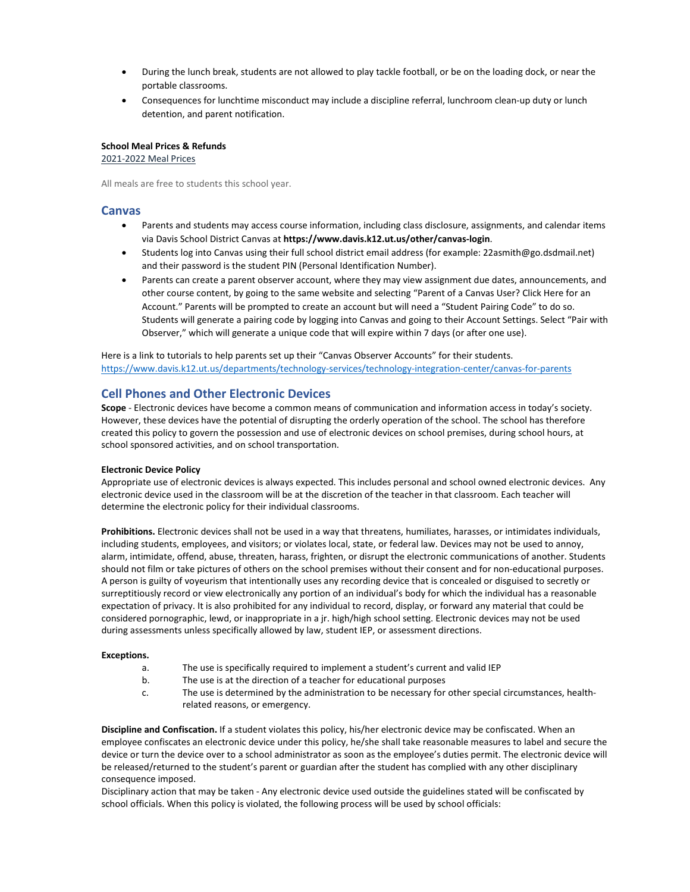- During the lunch break, students are not allowed to play tackle football, or be on the loading dock, or near the portable classrooms.
- Consequences for lunchtime misconduct may include a discipline referral, lunchroom clean-up duty or lunch detention, and parent notification.

#### **School Meal Prices & Refunds**

2021-2022 Meal Prices

All meals are free to students this school year.

### **Canvas**

- Parents and students may access course information, including class disclosure, assignments, and calendar items via Davis School District Canvas at **https://www.davis.k12.ut.us/other/canvas-login**.
- Students log into Canvas using their full school district email address (for example: 22asmith@go.dsdmail.net) and their password is the student PIN (Personal Identification Number).
- Parents can create a parent observer account, where they may view assignment due dates, announcements, and other course content, by going to the same website and selecting "Parent of a Canvas User? Click Here for an Account." Parents will be prompted to create an account but will need a "Student Pairing Code" to do so. Students will generate a pairing code by logging into Canvas and going to their Account Settings. Select "Pair with Observer," which will generate a unique code that will expire within 7 days (or after one use).

Here is a link to tutorials to help parents set up their "Canvas Observer Accounts" for their students. <https://www.davis.k12.ut.us/departments/technology-services/technology-integration-center/canvas-for-parents>

## **Cell Phones and Other Electronic Devices**

**Scope** - Electronic devices have become a common means of communication and information access in today's society. However, these devices have the potential of disrupting the orderly operation of the school. The school has therefore created this policy to govern the possession and use of electronic devices on school premises, during school hours, at school sponsored activities, and on school transportation.

#### **Electronic Device Policy**

Appropriate use of electronic devices is always expected. This includes personal and school owned electronic devices. Any electronic device used in the classroom will be at the discretion of the teacher in that classroom. Each teacher will determine the electronic policy for their individual classrooms.

**Prohibitions.** Electronic devices shall not be used in a way that threatens, humiliates, harasses, or intimidates individuals, including students, employees, and visitors; or violates local, state, or federal law. Devices may not be used to annoy, alarm, intimidate, offend, abuse, threaten, harass, frighten, or disrupt the electronic communications of another. Students should not film or take pictures of others on the school premises without their consent and for non-educational purposes. A person is guilty of voyeurism that intentionally uses any recording device that is concealed or disguised to secretly or surreptitiously record or view electronically any portion of an individual's body for which the individual has a reasonable expectation of privacy. It is also prohibited for any individual to record, display, or forward any material that could be considered pornographic, lewd, or inappropriate in a jr. high/high school setting. Electronic devices may not be used during assessments unless specifically allowed by law, student IEP, or assessment directions.

#### **Exceptions.**

- a. The use is specifically required to implement a student's current and valid IEP
- b. The use is at the direction of a teacher for educational purposes
- c. The use is determined by the administration to be necessary for other special circumstances, healthrelated reasons, or emergency.

**Discipline and Confiscation.** If a student violates this policy, his/her electronic device may be confiscated. When an employee confiscates an electronic device under this policy, he/she shall take reasonable measures to label and secure the device or turn the device over to a school administrator as soon as the employee's duties permit. The electronic device will be released/returned to the student's parent or guardian after the student has complied with any other disciplinary consequence imposed.

Disciplinary action that may be taken - Any electronic device used outside the guidelines stated will be confiscated by school officials. When this policy is violated, the following process will be used by school officials: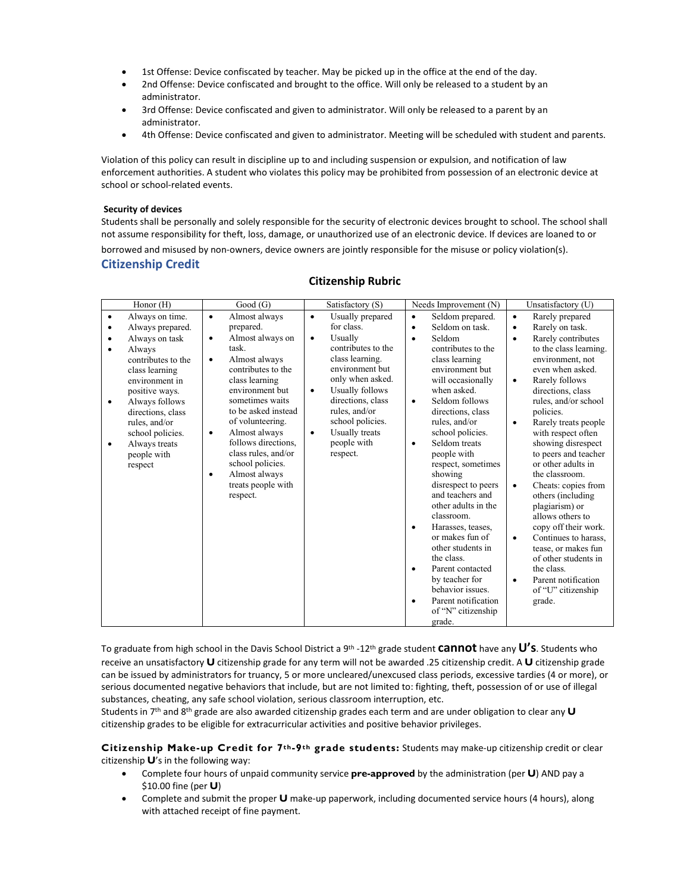- 1st Offense: Device confiscated by teacher. May be picked up in the office at the end of the day.
- 2nd Offense: Device confiscated and brought to the office. Will only be released to a student by an administrator.
- 3rd Offense: Device confiscated and given to administrator. Will only be released to a parent by an administrator.
- 4th Offense: Device confiscated and given to administrator. Meeting will be scheduled with student and parents.

Violation of this policy can result in discipline up to and including suspension or expulsion, and notification of law enforcement authorities. A student who violates this policy may be prohibited from possession of an electronic device at school or school-related events.

#### **Security of devices**

Students shall be personally and solely responsible for the security of electronic devices brought to school. The school shall not assume responsibility for theft, loss, damage, or unauthorized use of an electronic device. If devices are loaned to or

borrowed and misused by non-owners, device owners are jointly responsible for the misuse or policy violation(s). **Citizenship Credit**

|                                                                                                                                                                                                                                                                                                          | Good(G)                                                                                                                                                                                                                                                                                                                                                                          | Satisfactory (S)                                                                                                                                                                                                                                                                                               | Needs Improvement $(N)$                                                                                                                                                                                                                                                                                                                                                                                                                                                                                                                                                                                   |                                                                                                                                                                                                                                                                                                                                                                                                                                                                                                                                                                                                                                                                                                |
|----------------------------------------------------------------------------------------------------------------------------------------------------------------------------------------------------------------------------------------------------------------------------------------------------------|----------------------------------------------------------------------------------------------------------------------------------------------------------------------------------------------------------------------------------------------------------------------------------------------------------------------------------------------------------------------------------|----------------------------------------------------------------------------------------------------------------------------------------------------------------------------------------------------------------------------------------------------------------------------------------------------------------|-----------------------------------------------------------------------------------------------------------------------------------------------------------------------------------------------------------------------------------------------------------------------------------------------------------------------------------------------------------------------------------------------------------------------------------------------------------------------------------------------------------------------------------------------------------------------------------------------------------|------------------------------------------------------------------------------------------------------------------------------------------------------------------------------------------------------------------------------------------------------------------------------------------------------------------------------------------------------------------------------------------------------------------------------------------------------------------------------------------------------------------------------------------------------------------------------------------------------------------------------------------------------------------------------------------------|
| Honor (H)<br>Always on time.<br>٠<br>Always prepared.<br>٠<br>Always on task<br>٠<br>Always<br>contributes to the<br>class learning<br>environment in<br>positive ways.<br>Always follows<br>٠<br>directions, class<br>rules, and/or<br>school policies.<br>Always treats<br>٠<br>people with<br>respect | Almost always<br>$\bullet$<br>prepared.<br>Almost always on<br>٠<br>task.<br>Almost always<br>$\bullet$<br>contributes to the<br>class learning<br>environment but<br>sometimes waits<br>to be asked instead<br>of volunteering.<br>Almost always<br>٠<br>follows directions,<br>class rules, and/or<br>school policies.<br>Almost always<br>٠<br>treats people with<br>respect. | Usually prepared<br>$\bullet$<br>for class.<br>Usually<br>$\bullet$<br>contributes to the<br>class learning.<br>environment but<br>only when asked.<br><b>Usually follows</b><br>$\bullet$<br>directions, class<br>rules, and/or<br>school policies.<br>Usually treats<br>$\bullet$<br>people with<br>respect. | Seldom prepared.<br>$\bullet$<br>Seldom on task.<br>$\bullet$<br>Seldom<br>$\bullet$<br>contributes to the<br>class learning<br>environment but<br>will occasionally<br>when asked.<br>Seldom follows<br>$\bullet$<br>directions, class<br>rules, and/or<br>school policies.<br>Seldom treats<br>$\bullet$<br>people with<br>respect, sometimes<br>showing<br>disrespect to peers<br>and teachers and<br>other adults in the<br>classroom.<br>Harasses, teases,<br>$\bullet$<br>or makes fun of<br>other students in<br>the class.<br>Parent contacted<br>$\bullet$<br>by teacher for<br>behavior issues. | Unsatisfactory (U)<br>Rarely prepared<br>$\bullet$<br>Rarely on task.<br>$\bullet$<br>Rarely contributes<br>$\bullet$<br>to the class learning.<br>environment, not<br>even when asked.<br>Rarely follows<br>$\bullet$<br>directions, class<br>rules, and/or school<br>policies.<br>Rarely treats people<br>$\bullet$<br>with respect often<br>showing disrespect<br>to peers and teacher<br>or other adults in<br>the classroom.<br>Cheats: copies from<br>$\bullet$<br>others (including<br>plagiarism) or<br>allows others to<br>copy off their work.<br>Continues to harass.<br>$\bullet$<br>tease, or makes fun<br>of other students in<br>the class.<br>Parent notification<br>$\bullet$ |
|                                                                                                                                                                                                                                                                                                          |                                                                                                                                                                                                                                                                                                                                                                                  |                                                                                                                                                                                                                                                                                                                | Parent notification<br>$\bullet$<br>of "N" citizenship<br>grade.                                                                                                                                                                                                                                                                                                                                                                                                                                                                                                                                          | of "U" citizenship<br>grade.                                                                                                                                                                                                                                                                                                                                                                                                                                                                                                                                                                                                                                                                   |

## **Citizenship Rubric**

To graduate from high school in the Davis School District a 9th -12th grade student **cannot** have any **U's**. Students who receive an unsatisfactory **U** citizenship grade for any term will not be awarded .25 citizenship credit. A **U** citizenship grade can be issued by administrators for truancy, 5 or more uncleared/unexcused class periods, excessive tardies (4 or more), or serious documented negative behaviors that include, but are not limited to: fighting, theft, possession of or use of illegal substances, cheating, any safe school violation, serious classroom interruption, etc.

Students in 7th and 8th grade are also awarded citizenship grades each term and are under obligation to clear any **U**  citizenship grades to be eligible for extracurricular activities and positive behavior privileges.

**Citizenship Make-up Credit for 7th-9th grade students:** Students may make-up citizenship credit or clear citizenship **U**'s in the following way:

- Complete four hours of unpaid community service **pre-approved** by the administration (per **U**) AND pay a \$10.00 fine (per **U**)
- Complete and submit the proper **U** make-up paperwork, including documented service hours (4 hours), along with attached receipt of fine payment.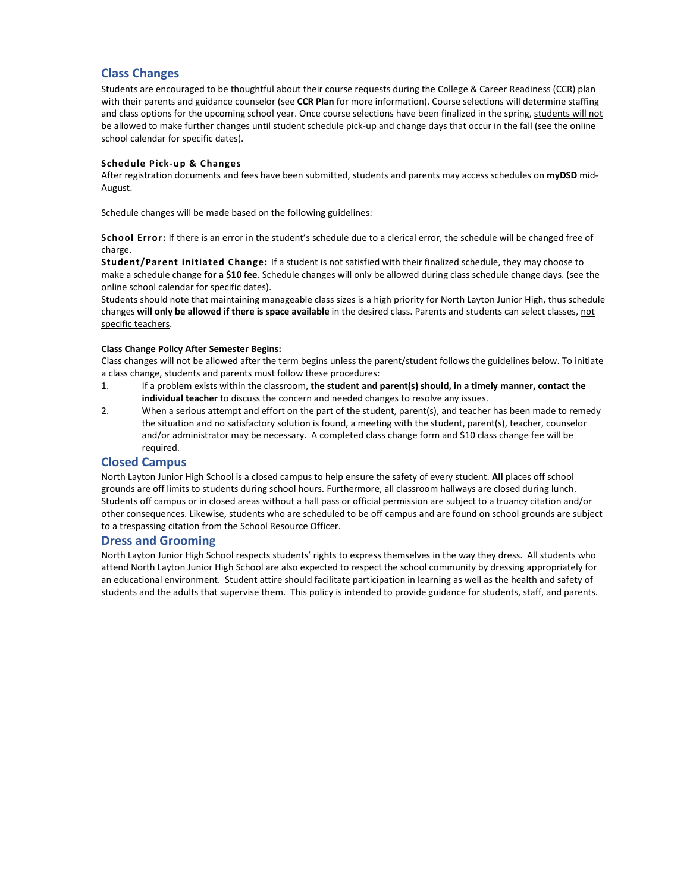## **Class Changes**

Students are encouraged to be thoughtful about their course requests during the College & Career Readiness (CCR) plan with their parents and guidance counselor (see **CCR Plan** for more information). Course selections will determine staffing and class options for the upcoming school year. Once course selections have been finalized in the spring, students will not be allowed to make further changes until student schedule pick-up and change days that occur in the fall (see the online school calendar for specific dates).

#### **Schedule Pick-up & Changes**

After registration documents and fees have been submitted, students and parents may access schedules on **myDSD** mid-August.

Schedule changes will be made based on the following guidelines:

**School Error:** If there is an error in the student's schedule due to a clerical error, the schedule will be changed free of charge.

**Student/Parent initiated Change:** If a student is not satisfied with their finalized schedule, they may choose to make a schedule change **for a \$10 fee**. Schedule changes will only be allowed during class schedule change days. (see the online school calendar for specific dates).

Students should note that maintaining manageable class sizes is a high priority for North Layton Junior High, thus schedule changes **will only be allowed if there is space available** in the desired class. Parents and students can select classes, not specific teachers.

#### **Class Change Policy After Semester Begins:**

Class changes will not be allowed after the term begins unless the parent/student follows the guidelines below. To initiate a class change, students and parents must follow these procedures:

- 1. If a problem exists within the classroom, **the student and parent(s) should, in a timely manner, contact the individual teacher** to discuss the concern and needed changes to resolve any issues.
- 2. When a serious attempt and effort on the part of the student, parent(s), and teacher has been made to remedy the situation and no satisfactory solution is found, a meeting with the student, parent(s), teacher, counselor and/or administrator may be necessary. A completed class change form and \$10 class change fee will be required.

## **Closed Campus**

North Layton Junior High School is a closed campus to help ensure the safety of every student. **All** places off school grounds are off limits to students during school hours. Furthermore, all classroom hallways are closed during lunch. Students off campus or in closed areas without a hall pass or official permission are subject to a truancy citation and/or other consequences. Likewise, students who are scheduled to be off campus and are found on school grounds are subject to a trespassing citation from the School Resource Officer.

### **Dress and Grooming**

North Layton Junior High School respects students' rights to express themselves in the way they dress. All students who attend North Layton Junior High School are also expected to respect the school community by dressing appropriately for an educational environment. Student attire should facilitate participation in learning as well as the health and safety of students and the adults that supervise them. This policy is intended to provide guidance for students, staff, and parents.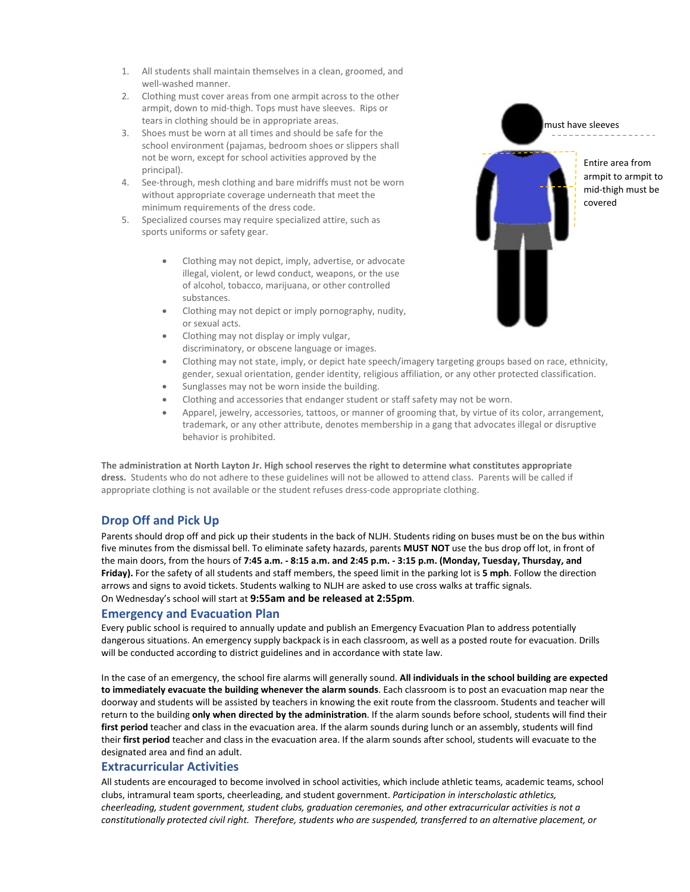- 1. All students shall maintain themselves in a clean, groomed, and well-washed manner.
- 2. Clothing must cover areas from one armpit across to the other armpit, down to mid-thigh. Tops must have sleeves. Rips or tears in clothing should be in appropriate areas.
- 3. Shoes must be worn at all times and should be safe for the school environment (pajamas, bedroom shoes or slippers shall not be worn, except for school activities approved by the principal).
- 4. See-through, mesh clothing and bare midriffs must not be worn without appropriate coverage underneath that meet the minimum requirements of the dress code.
- 5. Specialized courses may require specialized attire, such as sports uniforms or safety gear.
	- Clothing may not depict, imply, advertise, or advocate illegal, violent, or lewd conduct, weapons, or the use of alcohol, tobacco, marijuana, or other controlled substances.
	- Clothing may not depict or imply pornography, nudity, or sexual acts.
	- Clothing may not display or imply vulgar, discriminatory, or obscene language or images.
	- Clothing may not state, imply, or depict hate speech/imagery targeting groups based on race, ethnicity, gender, sexual orientation, gender identity, religious affiliation, or any other protected classification.
	- Sunglasses may not be worn inside the building.
	- Clothing and accessories that endanger student or staff safety may not be worn.
	- Apparel, jewelry, accessories, tattoos, or manner of grooming that, by virtue of its color, arrangement, trademark, or any other attribute, denotes membership in a gang that advocates illegal or disruptive behavior is prohibited.

**The administration at North Layton Jr. High school reserves the right to determine what constitutes appropriate dress.** Students who do not adhere to these guidelines will not be allowed to attend class. Parents will be called if appropriate clothing is not available or the student refuses dress-code appropriate clothing.

## **Drop Off and Pick Up**

Parents should drop off and pick up their students in the back of NLJH. Students riding on buses must be on the bus within five minutes from the dismissal bell. To eliminate safety hazards, parents **MUST NOT** use the bus drop off lot, in front of the main doors, from the hours of **7:45 a.m. - 8:15 a.m. and 2:45 p.m. - 3:15 p.m. (Monday, Tuesday, Thursday, and Friday).** For the safety of all students and staff members, the speed limit in the parking lot is **5 mph**. Follow the direction arrows and signs to avoid tickets. Students walking to NLJH are asked to use cross walks at traffic signals. On Wednesday's school will start at **9:55am and be released at 2:55pm**.

## **Emergency and Evacuation Plan**

Every public school is required to annually update and publish an Emergency Evacuation Plan to address potentially dangerous situations. An emergency supply backpack is in each classroom, as well as a posted route for evacuation. Drills will be conducted according to district guidelines and in accordance with state law.

In the case of an emergency, the school fire alarms will generally sound. **All individuals in the school building are expected to immediately evacuate the building whenever the alarm sounds**. Each classroom is to post an evacuation map near the doorway and students will be assisted by teachers in knowing the exit route from the classroom. Students and teacher will return to the building **only when directed by the administration**. If the alarm sounds before school, students will find their **first period** teacher and class in the evacuation area. If the alarm sounds during lunch or an assembly, students will find their **first period** teacher and class in the evacuation area. If the alarm sounds after school, students will evacuate to the designated area and find an adult.

## **Extracurricular Activities**

All students are encouraged to become involved in school activities, which include athletic teams, academic teams, school clubs, intramural team sports, cheerleading, and student government. *Participation in interscholastic athletics, cheerleading, student government, student clubs, graduation ceremonies, and other extracurricular activities is not a constitutionally protected civil right. Therefore, students who are suspended, transferred to an alternative placement, or* 

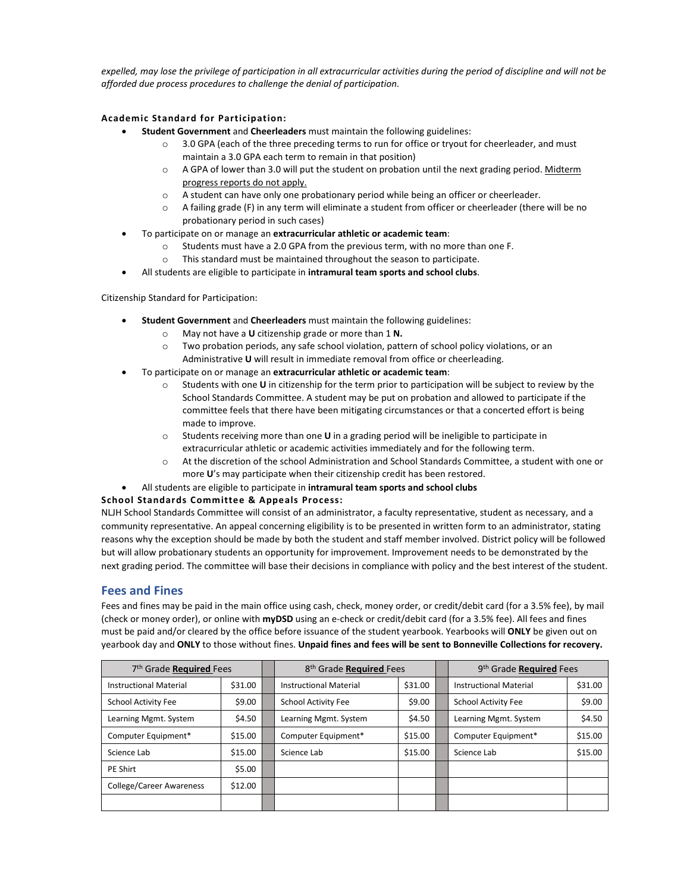*expelled, may lose the privilege of participation in all extracurricular activities during the period of discipline and will not be afforded due process procedures to challenge the denial of participation.* 

## **Academic Standard for Participation:**

- **Student Government** and **Cheerleaders** must maintain the following guidelines:
	- o 3.0 GPA (each of the three preceding terms to run for office or tryout for cheerleader, and must maintain a 3.0 GPA each term to remain in that position)
	- o A GPA of lower than 3.0 will put the student on probation until the next grading period. Midterm progress reports do not apply.
	- o A student can have only one probationary period while being an officer or cheerleader.
	- $\circ$  A failing grade (F) in any term will eliminate a student from officer or cheerleader (there will be no probationary period in such cases)
- To participate on or manage an **extracurricular athletic or academic team**:
	- o Students must have a 2.0 GPA from the previous term, with no more than one F.
	- This standard must be maintained throughout the season to participate.
- All students are eligible to participate in **intramural team sports and school clubs**.

Citizenship Standard for Participation:

- **Student Government** and **Cheerleaders** must maintain the following guidelines:
	- o May not have a **U** citizenship grade or more than 1 **N.**
	- o Two probation periods, any safe school violation, pattern of school policy violations, or an Administrative **U** will result in immediate removal from office or cheerleading.
- To participate on or manage an **extracurricular athletic or academic team**:
	- o Students with one **U** in citizenship for the term prior to participation will be subject to review by the School Standards Committee. A student may be put on probation and allowed to participate if the committee feels that there have been mitigating circumstances or that a concerted effort is being made to improve.
	- o Students receiving more than one **U** in a grading period will be ineligible to participate in extracurricular athletic or academic activities immediately and for the following term.
	- o At the discretion of the school Administration and School Standards Committee, a student with one or more **U**'s may participate when their citizenship credit has been restored.
	- All students are eligible to participate in **intramural team sports and school clubs**

### **School Standards Committee & Appeals Process:**

NLJH School Standards Committee will consist of an administrator, a faculty representative, student as necessary, and a community representative. An appeal concerning eligibility is to be presented in written form to an administrator, stating reasons why the exception should be made by both the student and staff member involved. District policy will be followed but will allow probationary students an opportunity for improvement. Improvement needs to be demonstrated by the next grading period. The committee will base their decisions in compliance with policy and the best interest of the student.

## **Fees and Fines**

Fees and fines may be paid in the main office using cash, check, money order, or credit/debit card (for a 3.5% fee), by mail (check or money order), or online with **myDSD** using an e-check or credit/debit card (for a 3.5% fee). All fees and fines must be paid and/or cleared by the office before issuance of the student yearbook. Yearbooks will **ONLY** be given out on yearbook day and **ONLY** to those without fines. **Unpaid fines and fees will be sent to Bonneville Collections for recovery.** 

| 7th Grade Required Fees         |         | 8 <sup>th</sup> Grade Required Fees |         | 9th Grade Required Fees       |         |
|---------------------------------|---------|-------------------------------------|---------|-------------------------------|---------|
| <b>Instructional Material</b>   | \$31.00 | <b>Instructional Material</b>       | \$31.00 | <b>Instructional Material</b> | \$31.00 |
| <b>School Activity Fee</b>      | \$9.00  | <b>School Activity Fee</b>          | \$9.00  | <b>School Activity Fee</b>    | \$9.00  |
| Learning Mgmt. System           | \$4.50  | Learning Mgmt. System               | \$4.50  | Learning Mgmt. System         | \$4.50  |
| Computer Equipment*             | \$15.00 | Computer Equipment*                 | \$15.00 | Computer Equipment*           | \$15.00 |
| Science Lab                     | \$15.00 | Science Lab                         | \$15.00 | Science Lab                   | \$15.00 |
| PE Shirt                        | \$5.00  |                                     |         |                               |         |
| <b>College/Career Awareness</b> | \$12.00 |                                     |         |                               |         |
|                                 |         |                                     |         |                               |         |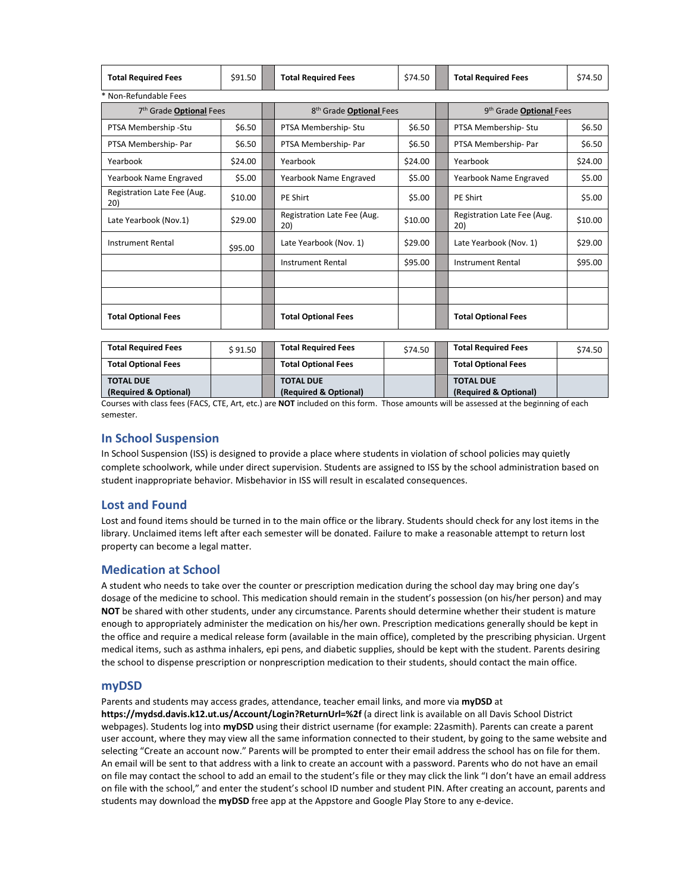| <b>Total Required Fees</b> | \$91.50 | <b>Total Required Fees</b> | \$74.50 | <b>Total Required Fees</b> | \$74.50 |
|----------------------------|---------|----------------------------|---------|----------------------------|---------|
| * Non-Refundable Fees      |         |                            |         |                            |         |

| 7 <sup>th</sup> Grade Optional Fees |         | 8 <sup>th</sup> Grade Optional Fees |         | 9 <sup>th</sup> Grade Optional Fees |                                    |         |
|-------------------------------------|---------|-------------------------------------|---------|-------------------------------------|------------------------------------|---------|
| PTSA Membership -Stu                | \$6.50  | PTSA Membership-Stu                 | \$6.50  |                                     | PTSA Membership-Stu                | \$6.50  |
| PTSA Membership-Par                 | \$6.50  | PTSA Membership-Par                 | \$6.50  |                                     | PTSA Membership- Par               | \$6.50  |
| Yearbook                            | \$24.00 | Yearbook                            | \$24.00 |                                     | Yearbook                           | \$24.00 |
| Yearbook Name Engraved              | \$5.00  | Yearbook Name Engraved              | \$5.00  |                                     | Yearbook Name Engraved             | \$5.00  |
| Registration Late Fee (Aug.<br>20)  | \$10.00 | <b>PE Shirt</b>                     | \$5.00  |                                     | <b>PE Shirt</b>                    | \$5.00  |
| Late Yearbook (Nov.1)               | \$29.00 | Registration Late Fee (Aug.<br>20)  | \$10.00 |                                     | Registration Late Fee (Aug.<br>20) | \$10.00 |
| <b>Instrument Rental</b>            | \$95.00 | Late Yearbook (Nov. 1)              | \$29.00 |                                     | Late Yearbook (Nov. 1)             | \$29.00 |
|                                     |         | <b>Instrument Rental</b>            | \$95.00 |                                     | <b>Instrument Rental</b>           | \$95.00 |
|                                     |         |                                     |         |                                     |                                    |         |
|                                     |         |                                     |         |                                     |                                    |         |
| <b>Total Optional Fees</b>          |         | <b>Total Optional Fees</b>          |         |                                     | <b>Total Optional Fees</b>         |         |

| <b>Total Required Fees</b> | \$91.50 | <b>Total Required Fees</b> | \$74.50 | <b>Total Required Fees</b> | \$74.50 |
|----------------------------|---------|----------------------------|---------|----------------------------|---------|
| <b>Total Optional Fees</b> |         | <b>Total Optional Fees</b> |         | <b>Total Optional Fees</b> |         |
| <b>TOTAL DUE</b>           |         | <b>TOTAL DUE</b>           |         | <b>TOTAL DUE</b>           |         |
| (Required & Optional)      |         | (Required & Optional)      |         | (Required & Optional)      |         |

Courses with class fees (FACS, CTE, Art, etc.) are **NOT** included on this form. Those amounts will be assessed at the beginning of each semester.

## **In School Suspension**

In School Suspension (ISS) is designed to provide a place where students in violation of school policies may quietly complete schoolwork, while under direct supervision. Students are assigned to ISS by the school administration based on student inappropriate behavior. Misbehavior in ISS will result in escalated consequences.

## **Lost and Found**

Lost and found items should be turned in to the main office or the library. Students should check for any lost items in the library. Unclaimed items left after each semester will be donated. Failure to make a reasonable attempt to return lost property can become a legal matter.

## **Medication at School**

A student who needs to take over the counter or prescription medication during the school day may bring one day's dosage of the medicine to school. This medication should remain in the student's possession (on his/her person) and may **NOT** be shared with other students, under any circumstance. Parents should determine whether their student is mature enough to appropriately administer the medication on his/her own. Prescription medications generally should be kept in the office and require a medical release form (available in the main office), completed by the prescribing physician. Urgent medical items, such as asthma inhalers, epi pens, and diabetic supplies, should be kept with the student. Parents desiring the school to dispense prescription or nonprescription medication to their students, should contact the main office.

## **myDSD**

Parents and students may access grades, attendance, teacher email links, and more via **myDSD** at **https://mydsd.davis.k12.ut.us/Account/Login?ReturnUrl=%2f** (a direct link is available on all Davis School District webpages). Students log into **myDSD** using their district username (for example: 22asmith). Parents can create a parent user account, where they may view all the same information connected to their student, by going to the same website and selecting "Create an account now." Parents will be prompted to enter their email address the school has on file for them. An email will be sent to that address with a link to create an account with a password. Parents who do not have an email on file may contact the school to add an email to the student's file or they may click the link "I don't have an email address on file with the school," and enter the student's school ID number and student PIN. After creating an account, parents and students may download the **myDSD** free app at the Appstore and Google Play Store to any e-device.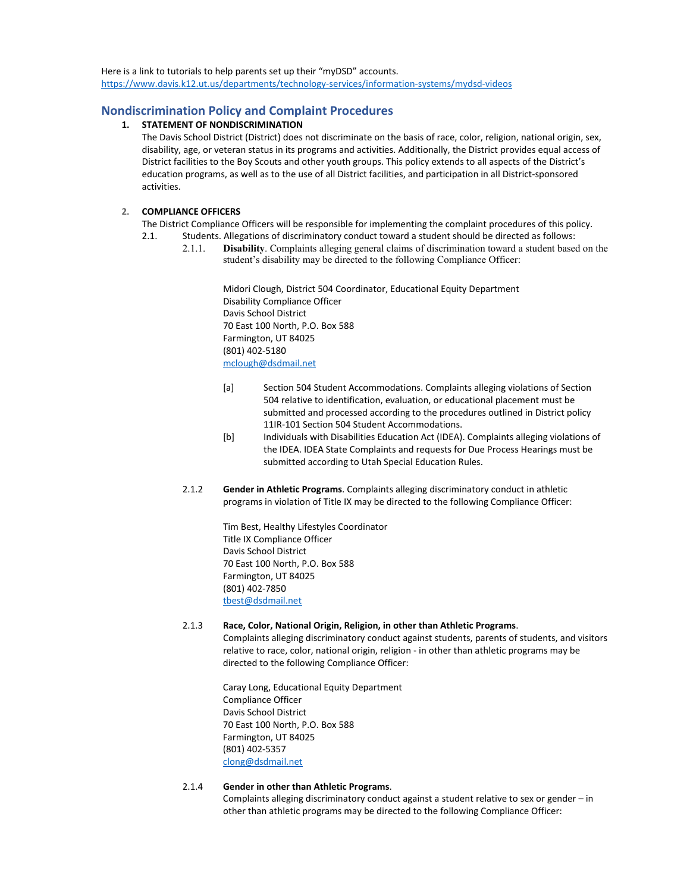Here is a link to tutorials to help parents set up their "myDSD" accounts. <https://www.davis.k12.ut.us/departments/technology-services/information-systems/mydsd-videos>

## **Nondiscrimination Policy and Complaint Procedures**

#### **1. STATEMENT OF NONDISCRIMINATION**

The Davis School District (District) does not discriminate on the basis of race, color, religion, national origin, sex, disability, age, or veteran status in its programs and activities. Additionally, the District provides equal access of District facilities to the Boy Scouts and other youth groups. This policy extends to all aspects of the District's education programs, as well as to the use of all District facilities, and participation in all District-sponsored activities.

### **2. COMPLIANCE OFFICERS**

- The District Compliance Officers will be responsible for implementing the complaint procedures of this policy.
- 2.1. Students. Allegations of discriminatory conduct toward a student should be directed as follows:
	- 2.1.1. **Disability**. Complaints alleging general claims of discrimination toward a student based on the student's disability may be directed to the following Compliance Officer:

Midori Clough, District 504 Coordinator, Educational Equity Department Disability Compliance Officer Davis School District 70 East 100 North, P.O. Box 588 Farmington, UT 84025 (801) 402-5180 [mclough@dsdmail.net](mailto:mclough@dsdmail.net)

- [a] Section 504 Student Accommodations. Complaints alleging violations of Section 504 relative to identification, evaluation, or educational placement must be submitted and processed according to the procedures outlined in District policy 11IR-101 Section 504 Student Accommodations.
- [b] Individuals with Disabilities Education Act (IDEA). Complaints alleging violations of the IDEA. IDEA State Complaints and requests for Due Process Hearings must be submitted according to Utah Special Education Rules.
- 2.1.2 **Gender in Athletic Programs**. Complaints alleging discriminatory conduct in athletic programs in violation of Title IX may be directed to the following Compliance Officer:

Tim Best, Healthy Lifestyles Coordinator Title IX Compliance Officer Davis School District 70 East 100 North, P.O. Box 588 Farmington, UT 84025 (801) 402-7850 [tbest@dsdmail.net](mailto:tbest@dsdmail.net)

#### 2.1.3 **Race, Color, National Origin, Religion, in other than Athletic Programs**.

Complaints alleging discriminatory conduct against students, parents of students, and visitors relative to race, color, national origin, religion - in other than athletic programs may be directed to the following Compliance Officer:

Caray Long, Educational Equity Department Compliance Officer Davis School District 70 East 100 North, P.O. Box 588 Farmington, UT 84025 (801) 402-5357 [clong@dsdmail.net](mailto:clong@dsdmail.net)

### 2.1.4 **Gender in other than Athletic Programs**.

Complaints alleging discriminatory conduct against a student relative to sex or gender – in other than athletic programs may be directed to the following Compliance Officer: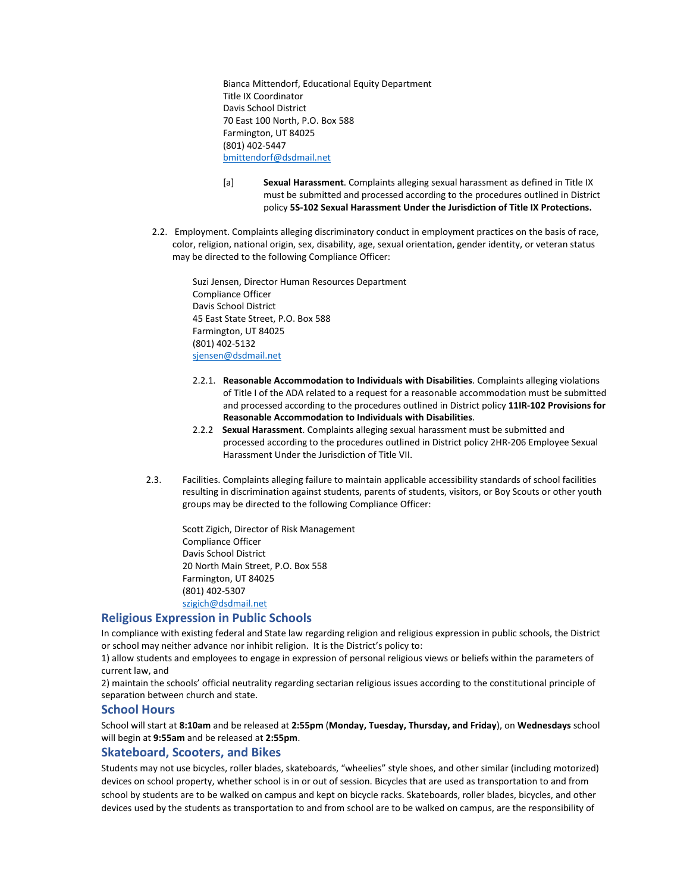Bianca Mittendorf, Educational Equity Department Title IX Coordinator Davis School District 70 East 100 North, P.O. Box 588 Farmington, UT 84025 (801) 402-5447 [bmittendorf@dsdmail.net](mailto:bmittendorf@dsdmail.net)

- [a] **Sexual Harassment**. Complaints alleging sexual harassment as defined in Title IX must be submitted and processed according to the procedures outlined in District policy **5S-102 Sexual Harassment Under the Jurisdiction of Title IX Protections.**
- 2.2. Employment. Complaints alleging discriminatory conduct in employment practices on the basis of race, color, religion, national origin, sex, disability, age, sexual orientation, gender identity, or veteran status may be directed to the following Compliance Officer:

Suzi Jensen, Director Human Resources Department Compliance Officer Davis School District 45 East State Street, P.O. Box 588 Farmington, UT 84025 (801) 402-5132 [sjensen@dsdmail.net](mailto:sjensen@dsdmail.net)

- 2.2.1. **Reasonable Accommodation to Individuals with Disabilities**. Complaints alleging violations of Title I of the ADA related to a request for a reasonable accommodation must be submitted and processed according to the procedures outlined in District policy **11IR-102 Provisions for Reasonable Accommodation to Individuals with Disabilities**.
- 2.2.2 **Sexual Harassment**. Complaints alleging sexual harassment must be submitted and processed according to the procedures outlined in District policy 2HR-206 Employee Sexual Harassment Under the Jurisdiction of Title VII.
- 2.3. Facilities. Complaints alleging failure to maintain applicable accessibility standards of school facilities resulting in discrimination against students, parents of students, visitors, or Boy Scouts or other youth groups may be directed to the following Compliance Officer:

Scott Zigich, Director of Risk Management Compliance Officer Davis School District 20 North Main Street, P.O. Box 558 Farmington, UT 84025 (801) 402-5307 [szigich@dsdmail.net](mailto:szigich@dsdmail.net)

### **Religious Expression in Public Schools**

In compliance with existing federal and State law regarding religion and religious expression in public schools, the District or school may neither advance nor inhibit religion. It is the District's policy to:

1) allow students and employees to engage in expression of personal religious views or beliefs within the parameters of current law, and

2) maintain the schools' official neutrality regarding sectarian religious issues according to the constitutional principle of separation between church and state.

### **School Hours**

School will start at **8:10am** and be released at **2:55pm** (**Monday, Tuesday, Thursday, and Friday**), on **Wednesdays** school will begin at **9:55am** and be released at **2:55pm**.

### **Skateboard, Scooters, and Bikes**

Students may not use bicycles, roller blades, skateboards, "wheelies" style shoes, and other similar (including motorized) devices on school property, whether school is in or out of session. Bicycles that are used as transportation to and from school by students are to be walked on campus and kept on bicycle racks. Skateboards, roller blades, bicycles, and other devices used by the students as transportation to and from school are to be walked on campus, are the responsibility of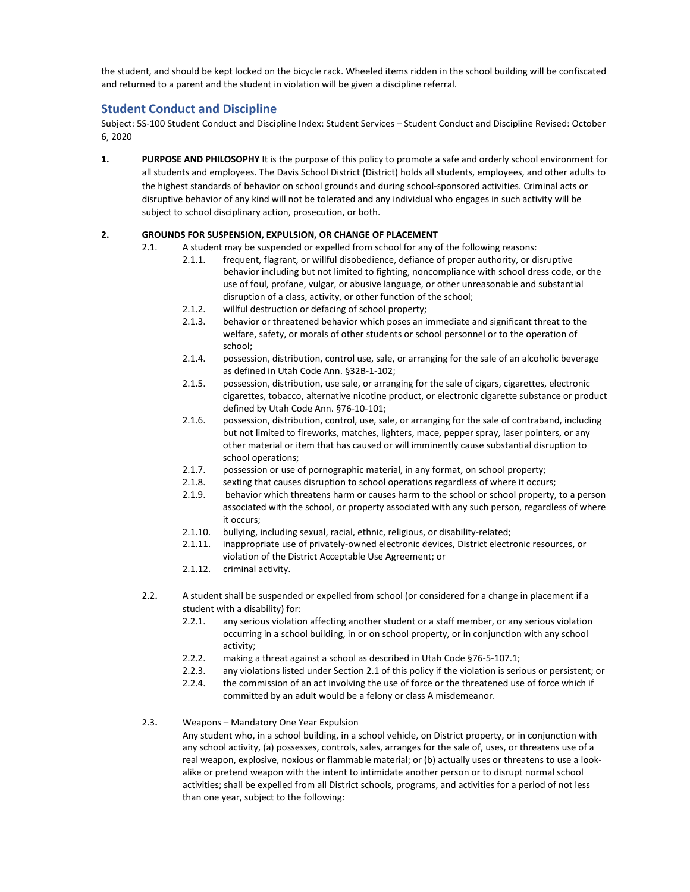the student, and should be kept locked on the bicycle rack. Wheeled items ridden in the school building will be confiscated and returned to a parent and the student in violation will be given a discipline referral.

## **Student Conduct and Discipline**

Subject: 5S-100 Student Conduct and Discipline Index: Student Services – Student Conduct and Discipline Revised: October 6, 2020

**1. PURPOSE AND PHILOSOPHY** It is the purpose of this policy to promote a safe and orderly school environment for all students and employees. The Davis School District (District) holds all students, employees, and other adults to the highest standards of behavior on school grounds and during school-sponsored activities. Criminal acts or disruptive behavior of any kind will not be tolerated and any individual who engages in such activity will be subject to school disciplinary action, prosecution, or both.

### **2. GROUNDS FOR SUSPENSION, EXPULSION, OR CHANGE OF PLACEMENT**

- 2.1. A student may be suspended or expelled from school for any of the following reasons:
	- 2.1.1. frequent, flagrant, or willful disobedience, defiance of proper authority, or disruptive behavior including but not limited to fighting, noncompliance with school dress code, or the use of foul, profane, vulgar, or abusive language, or other unreasonable and substantial disruption of a class, activity, or other function of the school;
	- 2.1.2. willful destruction or defacing of school property;
	- 2.1.3. behavior or threatened behavior which poses an immediate and significant threat to the welfare, safety, or morals of other students or school personnel or to the operation of school;
	- 2.1.4. possession, distribution, control use, sale, or arranging for the sale of an alcoholic beverage as defined in Utah Code Ann. §32B-1-102;
	- 2.1.5. possession, distribution, use sale, or arranging for the sale of cigars, cigarettes, electronic cigarettes, tobacco, alternative nicotine product, or electronic cigarette substance or product defined by Utah Code Ann. §76-10-101;
	- 2.1.6. possession, distribution, control, use, sale, or arranging for the sale of contraband, including but not limited to fireworks, matches, lighters, mace, pepper spray, laser pointers, or any other material or item that has caused or will imminently cause substantial disruption to school operations;
	- 2.1.7. possession or use of pornographic material, in any format, on school property;
	- 2.1.8. sexting that causes disruption to school operations regardless of where it occurs;
	- 2.1.9. behavior which threatens harm or causes harm to the school or school property, to a person associated with the school, or property associated with any such person, regardless of where it occurs;
	- 2.1.10. bullying, including sexual, racial, ethnic, religious, or disability-related;
	- 2.1.11. inappropriate use of privately-owned electronic devices, District electronic resources, or violation of the District Acceptable Use Agreement; or
	- 2.1.12. criminal activity.
- 2.2. A student shall be suspended or expelled from school (or considered for a change in placement if a student with a disability) for:
	- 2.2.1. any serious violation affecting another student or a staff member, or any serious violation occurring in a school building, in or on school property, or in conjunction with any school activity;
	- 2.2.2. making a threat against a school as described in Utah Code §76-5-107.1;
	- 2.2.3. any violations listed under Section 2.1 of this policy if the violation is serious or persistent; or
	- 2.2.4. the commission of an act involving the use of force or the threatened use of force which if committed by an adult would be a felony or class A misdemeanor.
- 2.3. Weapons Mandatory One Year Expulsion

Any student who, in a school building, in a school vehicle, on District property, or in conjunction with any school activity, (a) possesses, controls, sales, arranges for the sale of, uses, or threatens use of a real weapon, explosive, noxious or flammable material; or (b) actually uses or threatens to use a lookalike or pretend weapon with the intent to intimidate another person or to disrupt normal school activities; shall be expelled from all District schools, programs, and activities for a period of not less than one year, subject to the following: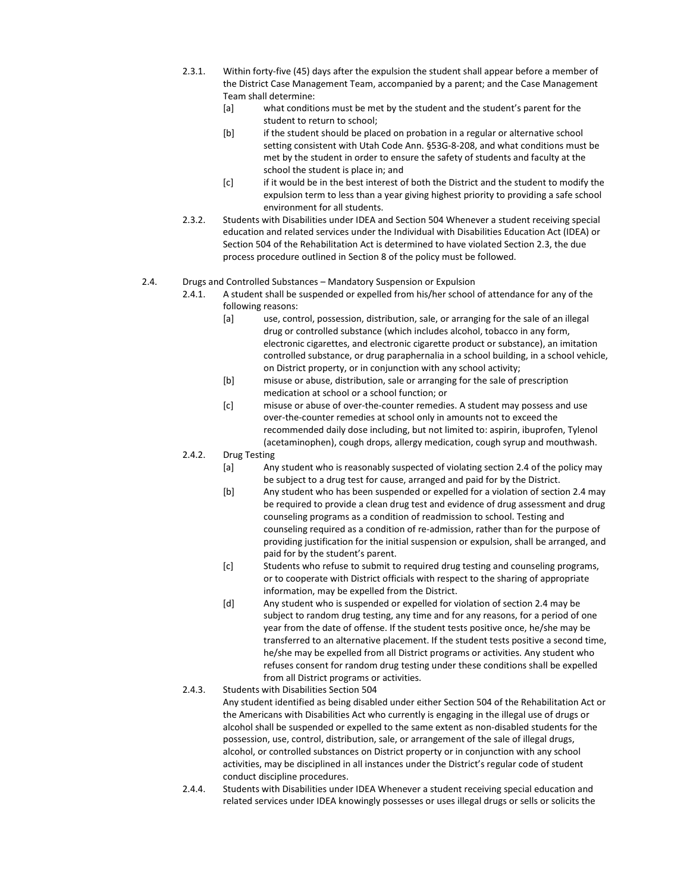- 2.3.1. Within forty-five (45) days after the expulsion the student shall appear before a member of the District Case Management Team, accompanied by a parent; and the Case Management Team shall determine:
	- [a] what conditions must be met by the student and the student's parent for the student to return to school;
	- [b] if the student should be placed on probation in a regular or alternative school setting consistent with Utah Code Ann. §53G-8-208, and what conditions must be met by the student in order to ensure the safety of students and faculty at the school the student is place in; and
	- [c] if it would be in the best interest of both the District and the student to modify the expulsion term to less than a year giving highest priority to providing a safe school environment for all students.
- 2.3.2. Students with Disabilities under IDEA and Section 504 Whenever a student receiving special education and related services under the Individual with Disabilities Education Act (IDEA) or Section 504 of the Rehabilitation Act is determined to have violated Section 2.3, the due process procedure outlined in Section 8 of the policy must be followed.

#### 2.4. Drugs and Controlled Substances – Mandatory Suspension or Expulsion

- 2.4.1. A student shall be suspended or expelled from his/her school of attendance for any of the following reasons:
	- [a] use, control, possession, distribution, sale, or arranging for the sale of an illegal drug or controlled substance (which includes alcohol, tobacco in any form, electronic cigarettes, and electronic cigarette product or substance), an imitation controlled substance, or drug paraphernalia in a school building, in a school vehicle, on District property, or in conjunction with any school activity;
	- [b] misuse or abuse, distribution, sale or arranging for the sale of prescription medication at school or a school function; or
	- [c] misuse or abuse of over-the-counter remedies. A student may possess and use over-the-counter remedies at school only in amounts not to exceed the recommended daily dose including, but not limited to: aspirin, ibuprofen, Tylenol (acetaminophen), cough drops, allergy medication, cough syrup and mouthwash.
- 2.4.2. Drug Testing
	- [a] Any student who is reasonably suspected of violating section 2.4 of the policy may be subject to a drug test for cause, arranged and paid for by the District.
	- [b] Any student who has been suspended or expelled for a violation of section 2.4 may be required to provide a clean drug test and evidence of drug assessment and drug counseling programs as a condition of readmission to school. Testing and counseling required as a condition of re-admission, rather than for the purpose of providing justification for the initial suspension or expulsion, shall be arranged, and paid for by the student's parent.
	- [c] Students who refuse to submit to required drug testing and counseling programs, or to cooperate with District officials with respect to the sharing of appropriate information, may be expelled from the District.
	- [d] Any student who is suspended or expelled for violation of section 2.4 may be subject to random drug testing, any time and for any reasons, for a period of one year from the date of offense. If the student tests positive once, he/she may be transferred to an alternative placement. If the student tests positive a second time, he/she may be expelled from all District programs or activities. Any student who refuses consent for random drug testing under these conditions shall be expelled from all District programs or activities.
- 2.4.3. Students with Disabilities Section 504 Any student identified as being disabled under either Section 504 of the Rehabilitation Act or the Americans with Disabilities Act who currently is engaging in the illegal use of drugs or alcohol shall be suspended or expelled to the same extent as non-disabled students for the possession, use, control, distribution, sale, or arrangement of the sale of illegal drugs, alcohol, or controlled substances on District property or in conjunction with any school activities, may be disciplined in all instances under the District's regular code of student conduct discipline procedures.
- 2.4.4. Students with Disabilities under IDEA Whenever a student receiving special education and related services under IDEA knowingly possesses or uses illegal drugs or sells or solicits the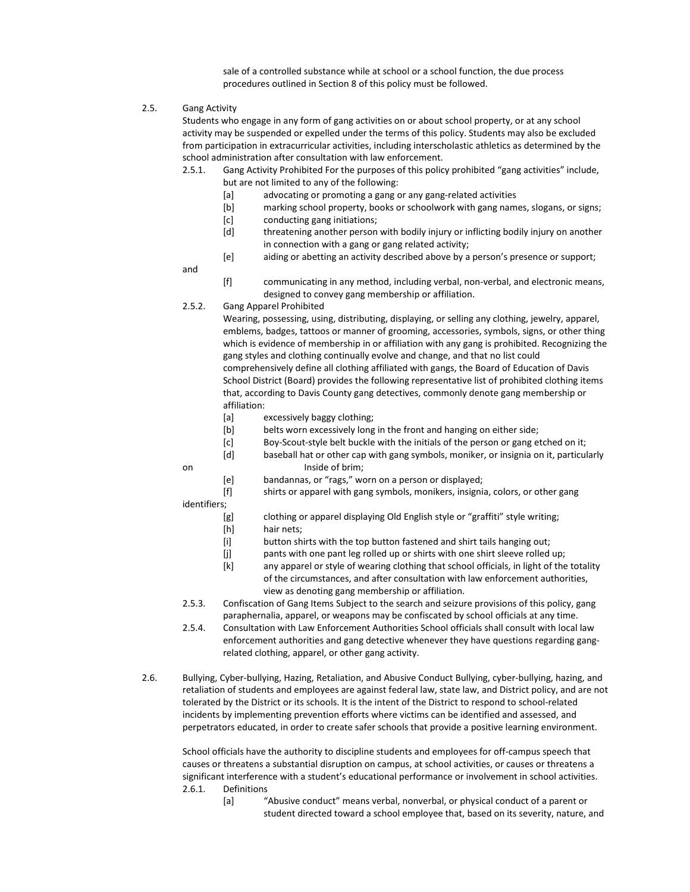sale of a controlled substance while at school or a school function, the due process procedures outlined in Section 8 of this policy must be followed.

#### 2.5. Gang Activity

Students who engage in any form of gang activities on or about school property, or at any school activity may be suspended or expelled under the terms of this policy. Students may also be excluded from participation in extracurricular activities, including interscholastic athletics as determined by the school administration after consultation with law enforcement.

2.5.1. Gang Activity Prohibited For the purposes of this policy prohibited "gang activities" include, but are not limited to any of the following:

- [a] advocating or promoting a gang or any gang-related activities
- [b] marking school property, books or schoolwork with gang names, slogans, or signs;
- [c] conducting gang initiations;
- [d] threatening another person with bodily injury or inflicting bodily injury on another in connection with a gang or gang related activity;
- [e] aiding or abetting an activity described above by a person's presence or support;

and

- [f] communicating in any method, including verbal, non-verbal, and electronic means, designed to convey gang membership or affiliation.
- 2.5.2. Gang Apparel Prohibited

Wearing, possessing, using, distributing, displaying, or selling any clothing, jewelry, apparel, emblems, badges, tattoos or manner of grooming, accessories, symbols, signs, or other thing which is evidence of membership in or affiliation with any gang is prohibited. Recognizing the gang styles and clothing continually evolve and change, and that no list could comprehensively define all clothing affiliated with gangs, the Board of Education of Davis School District (Board) provides the following representative list of prohibited clothing items that, according to Davis County gang detectives, commonly denote gang membership or affiliation:

- [a] excessively baggy clothing;
- [b] belts worn excessively long in the front and hanging on either side;
- [c] Boy-Scout-style belt buckle with the initials of the person or gang etched on it;
- [d] baseball hat or other cap with gang symbols, moniker, or insignia on it, particularly on Inside of brim:
	- [e] bandannas, or "rags," worn on a person or displayed;
	- [f] shirts or apparel with gang symbols, monikers, insignia, colors, or other gang

identifiers;

- [g] clothing or apparel displaying Old English style or "graffiti" style writing;
- [h] hair nets;
- [i] button shirts with the top button fastened and shirt tails hanging out;
- [j] pants with one pant leg rolled up or shirts with one shirt sleeve rolled up;
- [k] any apparel or style of wearing clothing that school officials, in light of the totality of the circumstances, and after consultation with law enforcement authorities, view as denoting gang membership or affiliation.
- 2.5.3. Confiscation of Gang Items Subject to the search and seizure provisions of this policy, gang paraphernalia, apparel, or weapons may be confiscated by school officials at any time.
- 2.5.4. Consultation with Law Enforcement Authorities School officials shall consult with local law enforcement authorities and gang detective whenever they have questions regarding gangrelated clothing, apparel, or other gang activity.
- 2.6. Bullying, Cyber-bullying, Hazing, Retaliation, and Abusive Conduct Bullying, cyber-bullying, hazing, and retaliation of students and employees are against federal law, state law, and District policy, and are not tolerated by the District or its schools. It is the intent of the District to respond to school-related incidents by implementing prevention efforts where victims can be identified and assessed, and perpetrators educated, in order to create safer schools that provide a positive learning environment.

School officials have the authority to discipline students and employees for off-campus speech that causes or threatens a substantial disruption on campus, at school activities, or causes or threatens a significant interference with a student's educational performance or involvement in school activities. 2.6.1. Definitions

[a] "Abusive conduct" means verbal, nonverbal, or physical conduct of a parent or student directed toward a school employee that, based on its severity, nature, and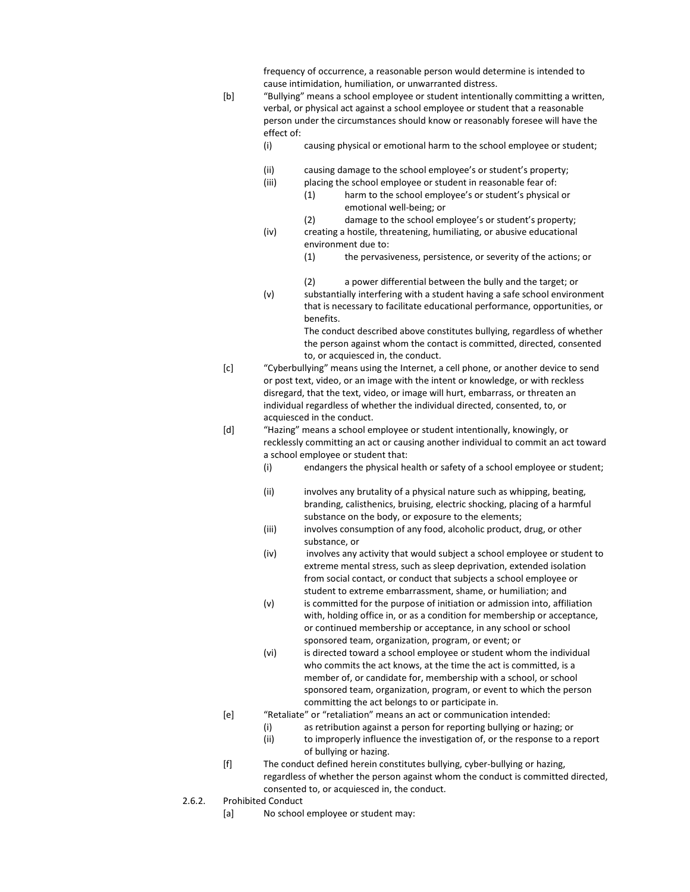frequency of occurrence, a reasonable person would determine is intended to cause intimidation, humiliation, or unwarranted distress.

[b] "Bullying" means a school employee or student intentionally committing a written, verbal, or physical act against a school employee or student that a reasonable person under the circumstances should know or reasonably foresee will have the effect of:

- (i) causing physical or emotional harm to the school employee or student;
- (ii) causing damage to the school employee's or student's property;
- (iii) placing the school employee or student in reasonable fear of:
	- (1) harm to the school employee's or student's physical or emotional well-being; or
- (2) damage to the school employee's or student's property; (iv) creating a hostile, threatening, humiliating, or abusive educational environment due to:
	- (1) the pervasiveness, persistence, or severity of the actions; or
	- (2) a power differential between the bully and the target; or
- (v) substantially interfering with a student having a safe school environment that is necessary to facilitate educational performance, opportunities, or benefits.

The conduct described above constitutes bullying, regardless of whether the person against whom the contact is committed, directed, consented to, or acquiesced in, the conduct.

- [c] "Cyberbullying" means using the Internet, a cell phone, or another device to send or post text, video, or an image with the intent or knowledge, or with reckless disregard, that the text, video, or image will hurt, embarrass, or threaten an individual regardless of whether the individual directed, consented, to, or acquiesced in the conduct.
- [d] "Hazing" means a school employee or student intentionally, knowingly, or recklessly committing an act or causing another individual to commit an act toward a school employee or student that:
	- (i) endangers the physical health or safety of a school employee or student;
	- (ii) involves any brutality of a physical nature such as whipping, beating, branding, calisthenics, bruising, electric shocking, placing of a harmful substance on the body, or exposure to the elements;
	- (iii) involves consumption of any food, alcoholic product, drug, or other substance, or
	- (iv) involves any activity that would subject a school employee or student to extreme mental stress, such as sleep deprivation, extended isolation from social contact, or conduct that subjects a school employee or student to extreme embarrassment, shame, or humiliation; and
	- (v) is committed for the purpose of initiation or admission into, affiliation with, holding office in, or as a condition for membership or acceptance, or continued membership or acceptance, in any school or school sponsored team, organization, program, or event; or
	- (vi) is directed toward a school employee or student whom the individual who commits the act knows, at the time the act is committed, is a member of, or candidate for, membership with a school, or school sponsored team, organization, program, or event to which the person committing the act belongs to or participate in.
- [e] "Retaliate" or "retaliation" means an act or communication intended:
	- (i) as retribution against a person for reporting bullying or hazing; or
		- (ii) to improperly influence the investigation of, or the response to a report of bullying or hazing.
- [f] The conduct defined herein constitutes bullying, cyber-bullying or hazing, regardless of whether the person against whom the conduct is committed directed, consented to, or acquiesced in, the conduct.
- 2.6.2. Prohibited Conduct
	- [a] No school employee or student may: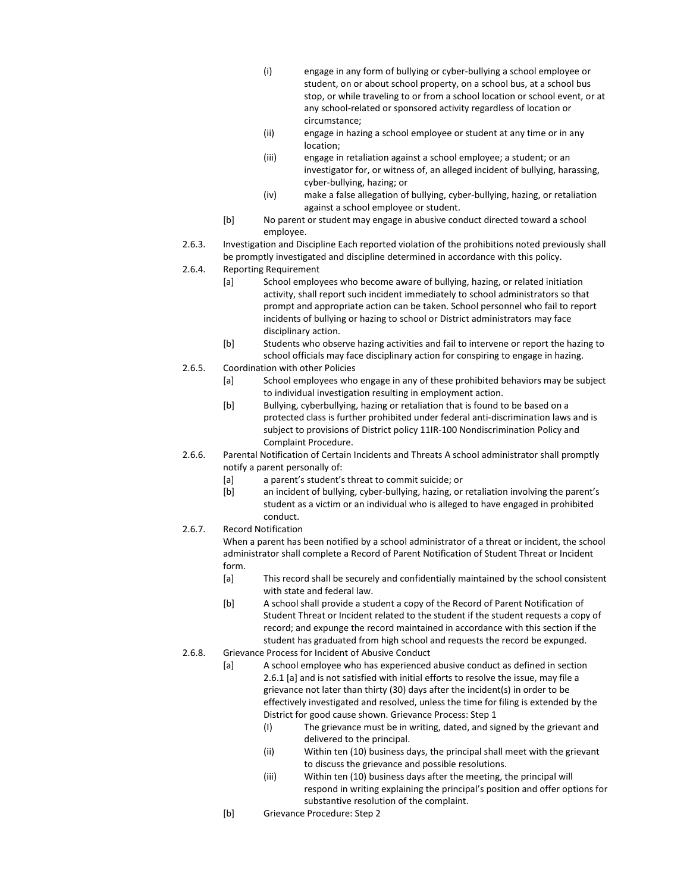- (i) engage in any form of bullying or cyber-bullying a school employee or student, on or about school property, on a school bus, at a school bus stop, or while traveling to or from a school location or school event, or at any school-related or sponsored activity regardless of location or circumstance;
- (ii) engage in hazing a school employee or student at any time or in any location;
- (iii) engage in retaliation against a school employee; a student; or an investigator for, or witness of, an alleged incident of bullying, harassing, cyber-bullying, hazing; or
- (iv) make a false allegation of bullying, cyber-bullying, hazing, or retaliation against a school employee or student.
- [b] No parent or student may engage in abusive conduct directed toward a school employee.
- 2.6.3. Investigation and Discipline Each reported violation of the prohibitions noted previously shall be promptly investigated and discipline determined in accordance with this policy.
- 2.6.4. Reporting Requirement
	- [a] School employees who become aware of bullying, hazing, or related initiation activity, shall report such incident immediately to school administrators so that prompt and appropriate action can be taken. School personnel who fail to report incidents of bullying or hazing to school or District administrators may face disciplinary action.
	- [b] Students who observe hazing activities and fail to intervene or report the hazing to school officials may face disciplinary action for conspiring to engage in hazing.
- 2.6.5. Coordination with other Policies
	- [a] School employees who engage in any of these prohibited behaviors may be subject to individual investigation resulting in employment action.
	- [b] Bullying, cyberbullying, hazing or retaliation that is found to be based on a protected class is further prohibited under federal anti-discrimination laws and is subject to provisions of District policy 11IR-100 Nondiscrimination Policy and Complaint Procedure.
- 2.6.6. Parental Notification of Certain Incidents and Threats A school administrator shall promptly notify a parent personally of:
	- [a] a parent's student's threat to commit suicide; or
	- [b] an incident of bullying, cyber-bullying, hazing, or retaliation involving the parent's student as a victim or an individual who is alleged to have engaged in prohibited conduct.
- 2.6.7. Record Notification

When a parent has been notified by a school administrator of a threat or incident, the school administrator shall complete a Record of Parent Notification of Student Threat or Incident form.

- [a] This record shall be securely and confidentially maintained by the school consistent with state and federal law.
- [b] A school shall provide a student a copy of the Record of Parent Notification of Student Threat or Incident related to the student if the student requests a copy of record; and expunge the record maintained in accordance with this section if the student has graduated from high school and requests the record be expunged.
- 2.6.8. Grievance Process for Incident of Abusive Conduct
	- [a] A school employee who has experienced abusive conduct as defined in section 2.6.1 [a] and is not satisfied with initial efforts to resolve the issue, may file a grievance not later than thirty (30) days after the incident(s) in order to be effectively investigated and resolved, unless the time for filing is extended by the District for good cause shown. Grievance Process: Step 1
		- (I) The grievance must be in writing, dated, and signed by the grievant and delivered to the principal.
		- (ii) Within ten (10) business days, the principal shall meet with the grievant to discuss the grievance and possible resolutions.
		- (iii) Within ten (10) business days after the meeting, the principal will respond in writing explaining the principal's position and offer options for substantive resolution of the complaint.
	- [b] Grievance Procedure: Step 2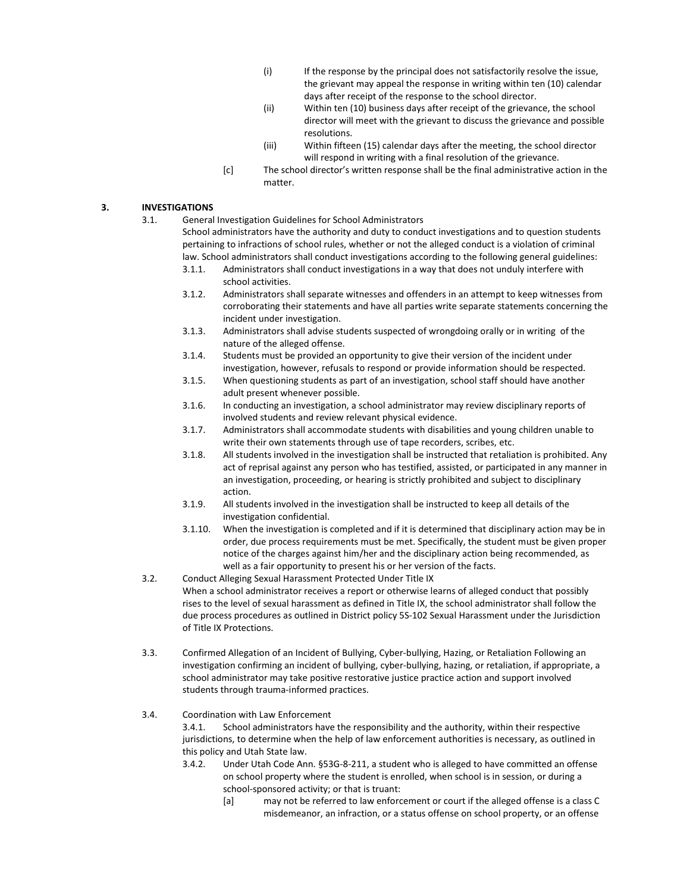- (i) If the response by the principal does not satisfactorily resolve the issue, the grievant may appeal the response in writing within ten (10) calendar days after receipt of the response to the school director.
- (ii) Within ten (10) business days after receipt of the grievance, the school director will meet with the grievant to discuss the grievance and possible resolutions.
- (iii) Within fifteen (15) calendar days after the meeting, the school director will respond in writing with a final resolution of the grievance.
- [c] The school director's written response shall be the final administrative action in the matter.

#### **3. INVESTIGATIONS**

3.1. General Investigation Guidelines for School Administrators

School administrators have the authority and duty to conduct investigations and to question students pertaining to infractions of school rules, whether or not the alleged conduct is a violation of criminal law. School administrators shall conduct investigations according to the following general guidelines:

- 3.1.1. Administrators shall conduct investigations in a way that does not unduly interfere with school activities.
- 3.1.2. Administrators shall separate witnesses and offenders in an attempt to keep witnesses from corroborating their statements and have all parties write separate statements concerning the incident under investigation.
- 3.1.3. Administrators shall advise students suspected of wrongdoing orally or in writing of the nature of the alleged offense.
- 3.1.4. Students must be provided an opportunity to give their version of the incident under investigation, however, refusals to respond or provide information should be respected.
- 3.1.5. When questioning students as part of an investigation, school staff should have another adult present whenever possible.
- 3.1.6. In conducting an investigation, a school administrator may review disciplinary reports of involved students and review relevant physical evidence.
- 3.1.7. Administrators shall accommodate students with disabilities and young children unable to write their own statements through use of tape recorders, scribes, etc.
- 3.1.8. All students involved in the investigation shall be instructed that retaliation is prohibited. Any act of reprisal against any person who has testified, assisted, or participated in any manner in an investigation, proceeding, or hearing is strictly prohibited and subject to disciplinary action.
- 3.1.9. All students involved in the investigation shall be instructed to keep all details of the investigation confidential.
- 3.1.10. When the investigation is completed and if it is determined that disciplinary action may be in order, due process requirements must be met. Specifically, the student must be given proper notice of the charges against him/her and the disciplinary action being recommended, as well as a fair opportunity to present his or her version of the facts.
- 3.2. Conduct Alleging Sexual Harassment Protected Under Title IX When a school administrator receives a report or otherwise learns of alleged conduct that possibly rises to the level of sexual harassment as defined in Title IX, the school administrator shall follow the due process procedures as outlined in District policy 5S-102 Sexual Harassment under the Jurisdiction of Title IX Protections.
- 3.3. Confirmed Allegation of an Incident of Bullying, Cyber-bullying, Hazing, or Retaliation Following an investigation confirming an incident of bullying, cyber-bullying, hazing, or retaliation, if appropriate, a school administrator may take positive restorative justice practice action and support involved students through trauma-informed practices.
- 3.4. Coordination with Law Enforcement

3.4.1. School administrators have the responsibility and the authority, within their respective jurisdictions, to determine when the help of law enforcement authorities is necessary, as outlined in this policy and Utah State law.

- 3.4.2. Under Utah Code Ann. §53G-8-211, a student who is alleged to have committed an offense on school property where the student is enrolled, when school is in session, or during a school-sponsored activity; or that is truant:
	- [a] may not be referred to law enforcement or court if the alleged offense is a class C misdemeanor, an infraction, or a status offense on school property, or an offense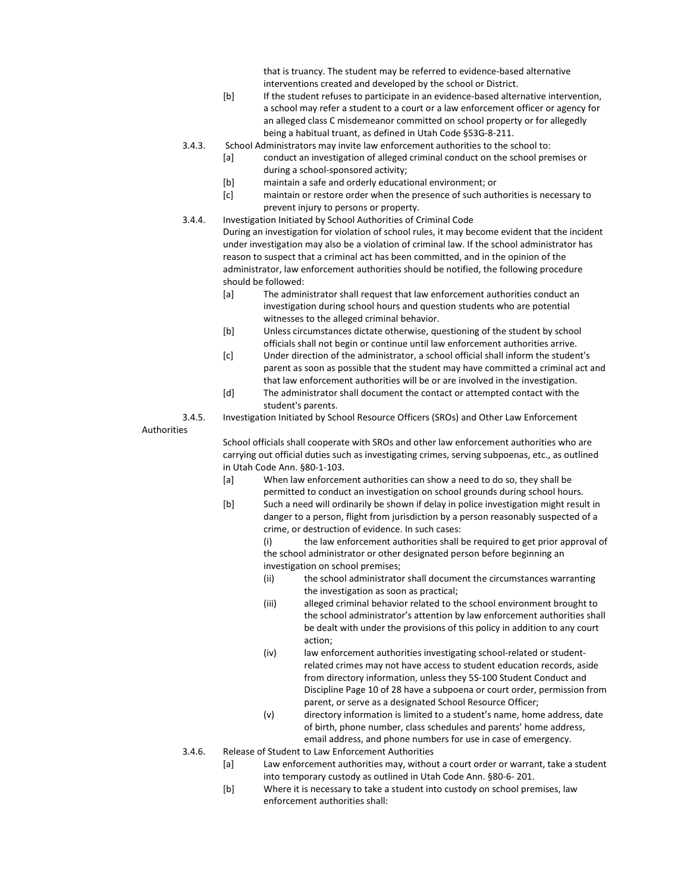that is truancy. The student may be referred to evidence-based alternative interventions created and developed by the school or District.

- [b] If the student refuses to participate in an evidence-based alternative intervention, a school may refer a student to a court or a law enforcement officer or agency for an alleged class C misdemeanor committed on school property or for allegedly being a habitual truant, as defined in Utah Code §53G-8-211.
- 3.4.3. School Administrators may invite law enforcement authorities to the school to:
	- [a] conduct an investigation of alleged criminal conduct on the school premises or during a school-sponsored activity;
	- [b] maintain a safe and orderly educational environment; or
	- [c] maintain or restore order when the presence of such authorities is necessary to prevent injury to persons or property.
- 3.4.4. Investigation Initiated by School Authorities of Criminal Code

During an investigation for violation of school rules, it may become evident that the incident under investigation may also be a violation of criminal law. If the school administrator has reason to suspect that a criminal act has been committed, and in the opinion of the administrator, law enforcement authorities should be notified, the following procedure should be followed:

- [a] The administrator shall request that law enforcement authorities conduct an investigation during school hours and question students who are potential witnesses to the alleged criminal behavior.
- [b] Unless circumstances dictate otherwise, questioning of the student by school officials shall not begin or continue until law enforcement authorities arrive.
- [c] Under direction of the administrator, a school official shall inform the student's parent as soon as possible that the student may have committed a criminal act and that law enforcement authorities will be or are involved in the investigation.
- [d] The administrator shall document the contact or attempted contact with the student's parents.

3.4.5. Investigation Initiated by School Resource Officers (SROs) and Other Law Enforcement

Authorities

School officials shall cooperate with SROs and other law enforcement authorities who are carrying out official duties such as investigating crimes, serving subpoenas, etc., as outlined in Utah Code Ann. §80-1-103.

- [a] When law enforcement authorities can show a need to do so, they shall be permitted to conduct an investigation on school grounds during school hours.
- [b] Such a need will ordinarily be shown if delay in police investigation might result in danger to a person, flight from jurisdiction by a person reasonably suspected of a crime, or destruction of evidence. In such cases:

(i) the law enforcement authorities shall be required to get prior approval of the school administrator or other designated person before beginning an investigation on school premises;

- (ii) the school administrator shall document the circumstances warranting the investigation as soon as practical;
- (iii) alleged criminal behavior related to the school environment brought to the school administrator's attention by law enforcement authorities shall be dealt with under the provisions of this policy in addition to any court action;
- (iv) law enforcement authorities investigating school-related or studentrelated crimes may not have access to student education records, aside from directory information, unless they 5S-100 Student Conduct and Discipline Page 10 of 28 have a subpoena or court order, permission from parent, or serve as a designated School Resource Officer;
- (v) directory information is limited to a student's name, home address, date of birth, phone number, class schedules and parents' home address, email address, and phone numbers for use in case of emergency.
- 3.4.6. Release of Student to Law Enforcement Authorities
	- [a] Law enforcement authorities may, without a court order or warrant, take a student into temporary custody as outlined in Utah Code Ann. §80-6- 201.
	- [b] Where it is necessary to take a student into custody on school premises, law enforcement authorities shall: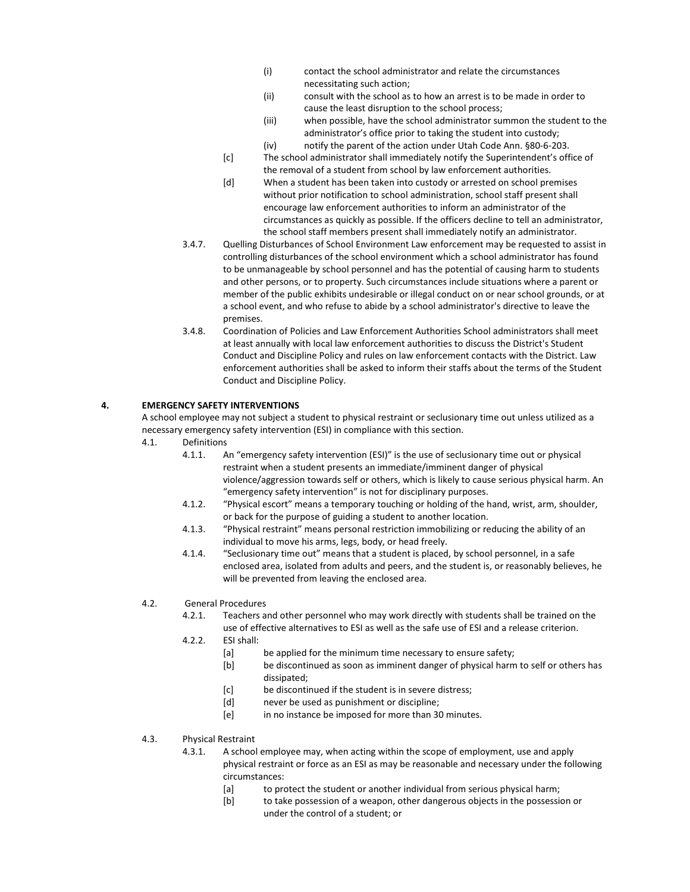- (i) contact the school administrator and relate the circumstances necessitating such action;
- (ii) consult with the school as to how an arrest is to be made in order to cause the least disruption to the school process;
- (iii) when possible, have the school administrator summon the student to the administrator's office prior to taking the student into custody;
- (iv) notify the parent of the action under Utah Code Ann. §80-6-203.
- [c] The school administrator shall immediately notify the Superintendent's office of the removal of a student from school by law enforcement authorities.
- [d] When a student has been taken into custody or arrested on school premises without prior notification to school administration, school staff present shall encourage law enforcement authorities to inform an administrator of the circumstances as quickly as possible. If the officers decline to tell an administrator, the school staff members present shall immediately notify an administrator.
- 3.4.7. Quelling Disturbances of School Environment Law enforcement may be requested to assist in controlling disturbances of the school environment which a school administrator has found to be unmanageable by school personnel and has the potential of causing harm to students and other persons, or to property. Such circumstances include situations where a parent or member of the public exhibits undesirable or illegal conduct on or near school grounds, or at a school event, and who refuse to abide by a school administrator's directive to leave the premises.
- 3.4.8. Coordination of Policies and Law Enforcement Authorities School administrators shall meet at least annually with local law enforcement authorities to discuss the District's Student Conduct and Discipline Policy and rules on law enforcement contacts with the District. Law enforcement authorities shall be asked to inform their staffs about the terms of the Student Conduct and Discipline Policy.

### **4. EMERGENCY SAFETY INTERVENTIONS**

A school employee may not subject a student to physical restraint or seclusionary time out unless utilized as a necessary emergency safety intervention (ESI) in compliance with this section.

- 4.1. Definitions
	- 4.1.1. An "emergency safety intervention (ESI)" is the use of seclusionary time out or physical restraint when a student presents an immediate/imminent danger of physical violence/aggression towards self or others, which is likely to cause serious physical harm. An "emergency safety intervention" is not for disciplinary purposes.
	- 4.1.2. "Physical escort" means a temporary touching or holding of the hand, wrist, arm, shoulder, or back for the purpose of guiding a student to another location.
	- 4.1.3. "Physical restraint" means personal restriction immobilizing or reducing the ability of an individual to move his arms, legs, body, or head freely.
	- 4.1.4. "Seclusionary time out" means that a student is placed, by school personnel, in a safe enclosed area, isolated from adults and peers, and the student is, or reasonably believes, he will be prevented from leaving the enclosed area.

#### 4.2. General Procedures

- 4.2.1. Teachers and other personnel who may work directly with students shall be trained on the use of effective alternatives to ESI as well as the safe use of ESI and a release criterion.
- 4.2.2. ESI shall:
	- [a] be applied for the minimum time necessary to ensure safety;
	- [b] be discontinued as soon as imminent danger of physical harm to self or others has dissipated;
	- [c] be discontinued if the student is in severe distress;
	- [d] never be used as punishment or discipline;
	- [e] in no instance be imposed for more than 30 minutes.
- 4.3. Physical Restraint
	- 4.3.1. A school employee may, when acting within the scope of employment, use and apply physical restraint or force as an ESI as may be reasonable and necessary under the following circumstances:
		- [a] to protect the student or another individual from serious physical harm;
		- [b] to take possession of a weapon, other dangerous objects in the possession or under the control of a student; or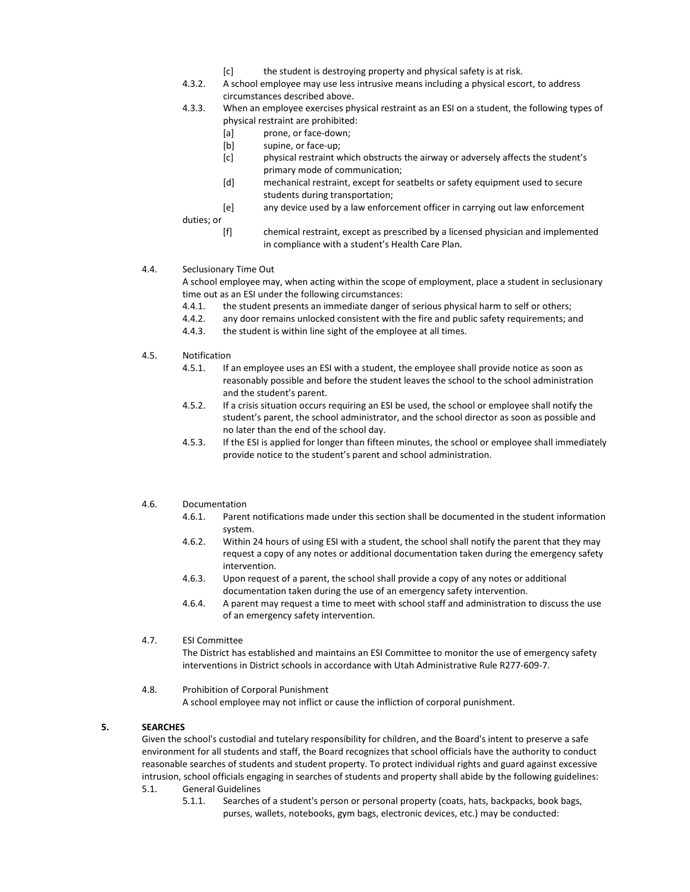- [c] the student is destroying property and physical safety is at risk.
- 4.3.2. A school employee may use less intrusive means including a physical escort, to address circumstances described above.
- 4.3.3. When an employee exercises physical restraint as an ESI on a student, the following types of physical restraint are prohibited:
	- [a] prone, or face-down;
	- [b] supine, or face-up;
	- [c] physical restraint which obstructs the airway or adversely affects the student's primary mode of communication;
	- [d] mechanical restraint, except for seatbelts or safety equipment used to secure students during transportation;
	- [e] any device used by a law enforcement officer in carrying out law enforcement

duties; or

- [f] chemical restraint, except as prescribed by a licensed physician and implemented in compliance with a student's Health Care Plan.
- 4.4. Seclusionary Time Out

A school employee may, when acting within the scope of employment, place a student in seclusionary time out as an ESI under the following circumstances:

- 4.4.1. the student presents an immediate danger of serious physical harm to self or others;
- 4.4.2. any door remains unlocked consistent with the fire and public safety requirements; and
- 4.4.3. the student is within line sight of the employee at all times.
- 4.5. Notification
	- 4.5.1. If an employee uses an ESI with a student, the employee shall provide notice as soon as reasonably possible and before the student leaves the school to the school administration and the student's parent.
	- 4.5.2. If a crisis situation occurs requiring an ESI be used, the school or employee shall notify the student's parent, the school administrator, and the school director as soon as possible and no later than the end of the school day.
	- 4.5.3. If the ESI is applied for longer than fifteen minutes, the school or employee shall immediately provide notice to the student's parent and school administration.
- 4.6. Documentation
	- 4.6.1. Parent notifications made under this section shall be documented in the student information system.
	- 4.6.2. Within 24 hours of using ESI with a student, the school shall notify the parent that they may request a copy of any notes or additional documentation taken during the emergency safety intervention.
	- 4.6.3. Upon request of a parent, the school shall provide a copy of any notes or additional documentation taken during the use of an emergency safety intervention.
	- 4.6.4. A parent may request a time to meet with school staff and administration to discuss the use of an emergency safety intervention.
- 4.7. ESI Committee

The District has established and maintains an ESI Committee to monitor the use of emergency safety interventions in District schools in accordance with Utah Administrative Rule R277-609-7.

4.8. Prohibition of Corporal Punishment A school employee may not inflict or cause the infliction of corporal punishment.

### **5. SEARCHES**

Given the school's custodial and tutelary responsibility for children, and the Board's intent to preserve a safe environment for all students and staff, the Board recognizes that school officials have the authority to conduct reasonable searches of students and student property. To protect individual rights and guard against excessive intrusion, school officials engaging in searches of students and property shall abide by the following guidelines:

- 5.1. General Guidelines
	- 5.1.1. Searches of a student's person or personal property (coats, hats, backpacks, book bags, purses, wallets, notebooks, gym bags, electronic devices, etc.) may be conducted: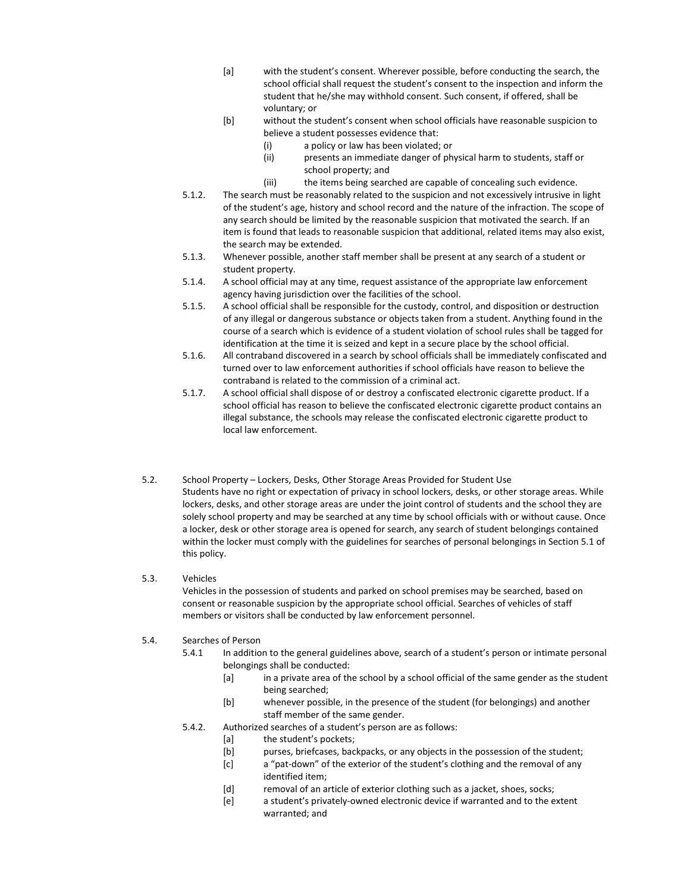- [a] with the student's consent. Wherever possible, before conducting the search, the school official shall request the student's consent to the inspection and inform the student that he/she may withhold consent. Such consent, if offered, shall be voluntary; or
- [b] without the student's consent when school officials have reasonable suspicion to believe a student possesses evidence that:
	- (i) a policy or law has been violated; or
	- (ii) presents an immediate danger of physical harm to students, staff or school property; and
	- (iii) the items being searched are capable of concealing such evidence.
- 5.1.2. The search must be reasonably related to the suspicion and not excessively intrusive in light of the student's age, history and school record and the nature of the infraction. The scope of any search should be limited by the reasonable suspicion that motivated the search. If an item is found that leads to reasonable suspicion that additional, related items may also exist, the search may be extended.
- 5.1.3. Whenever possible, another staff member shall be present at any search of a student or student property.
- 5.1.4. A school official may at any time, request assistance of the appropriate law enforcement agency having jurisdiction over the facilities of the school.
- 5.1.5. A school official shall be responsible for the custody, control, and disposition or destruction of any illegal or dangerous substance or objects taken from a student. Anything found in the course of a search which is evidence of a student violation of school rules shall be tagged for identification at the time it is seized and kept in a secure place by the school official.
- 5.1.6. All contraband discovered in a search by school officials shall be immediately confiscated and turned over to law enforcement authorities if school officials have reason to believe the contraband is related to the commission of a criminal act.
- 5.1.7. A school official shall dispose of or destroy a confiscated electronic cigarette product. If a school official has reason to believe the confiscated electronic cigarette product contains an illegal substance, the schools may release the confiscated electronic cigarette product to local law enforcement.
- 5.2. School Property Lockers, Desks, Other Storage Areas Provided for Student Use Students have no right or expectation of privacy in school lockers, desks, or other storage areas. While lockers, desks, and other storage areas are under the joint control of students and the school they are solely school property and may be searched at any time by school officials with or without cause. Once a locker, desk or other storage area is opened for search, any search of student belongings contained within the locker must comply with the guidelines for searches of personal belongings in Section 5.1 of this policy.

#### 5.3. Vehicles

Vehicles in the possession of students and parked on school premises may be searched, based on consent or reasonable suspicion by the appropriate school official. Searches of vehicles of staff members or visitors shall be conducted by law enforcement personnel.

#### 5.4. Searches of Person

- 5.4.1 In addition to the general guidelines above, search of a student's person or intimate personal belongings shall be conducted:
	- [a] in a private area of the school by a school official of the same gender as the student being searched;
	- [b] whenever possible, in the presence of the student (for belongings) and another staff member of the same gender.
- 5.4.2. Authorized searches of a student's person are as follows:
	- [a] the student's pockets;
	- [b] purses, briefcases, backpacks, or any objects in the possession of the student;
	- [c] a "pat-down" of the exterior of the student's clothing and the removal of any identified item;
	- [d] removal of an article of exterior clothing such as a jacket, shoes, socks;
	- [e] a student's privately-owned electronic device if warranted and to the extent warranted; and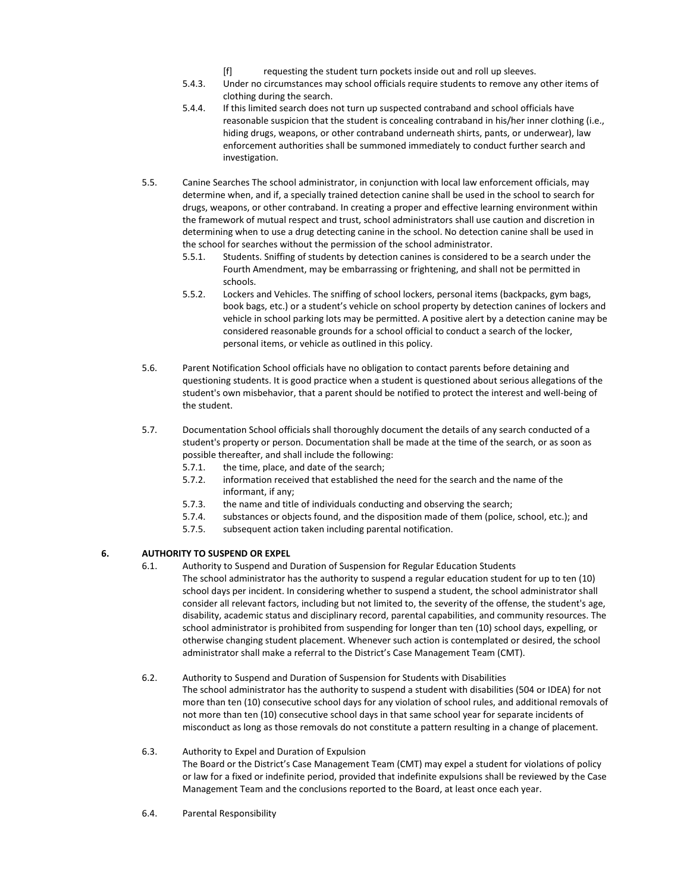- [f] requesting the student turn pockets inside out and roll up sleeves.
- 5.4.3. Under no circumstances may school officials require students to remove any other items of clothing during the search.
- 5.4.4. If this limited search does not turn up suspected contraband and school officials have reasonable suspicion that the student is concealing contraband in his/her inner clothing (i.e., hiding drugs, weapons, or other contraband underneath shirts, pants, or underwear), law enforcement authorities shall be summoned immediately to conduct further search and investigation.
- 5.5. Canine Searches The school administrator, in conjunction with local law enforcement officials, may determine when, and if, a specially trained detection canine shall be used in the school to search for drugs, weapons, or other contraband. In creating a proper and effective learning environment within the framework of mutual respect and trust, school administrators shall use caution and discretion in determining when to use a drug detecting canine in the school. No detection canine shall be used in the school for searches without the permission of the school administrator.
	- 5.5.1. Students. Sniffing of students by detection canines is considered to be a search under the Fourth Amendment, may be embarrassing or frightening, and shall not be permitted in schools.
	- 5.5.2. Lockers and Vehicles. The sniffing of school lockers, personal items (backpacks, gym bags, book bags, etc.) or a student's vehicle on school property by detection canines of lockers and vehicle in school parking lots may be permitted. A positive alert by a detection canine may be considered reasonable grounds for a school official to conduct a search of the locker, personal items, or vehicle as outlined in this policy.
- 5.6. Parent Notification School officials have no obligation to contact parents before detaining and questioning students. It is good practice when a student is questioned about serious allegations of the student's own misbehavior, that a parent should be notified to protect the interest and well-being of the student.
- 5.7. Documentation School officials shall thoroughly document the details of any search conducted of a student's property or person. Documentation shall be made at the time of the search, or as soon as possible thereafter, and shall include the following:
	- 5.7.1. the time, place, and date of the search;
	- 5.7.2. information received that established the need for the search and the name of the informant, if any;
	- 5.7.3. the name and title of individuals conducting and observing the search;
	- 5.7.4. substances or objects found, and the disposition made of them (police, school, etc.); and
	- 5.7.5. subsequent action taken including parental notification.

## **6. AUTHORITY TO SUSPEND OR EXPEL**

- 6.1. Authority to Suspend and Duration of Suspension for Regular Education Students The school administrator has the authority to suspend a regular education student for up to ten (10) school days per incident. In considering whether to suspend a student, the school administrator shall consider all relevant factors, including but not limited to, the severity of the offense, the student's age, disability, academic status and disciplinary record, parental capabilities, and community resources. The school administrator is prohibited from suspending for longer than ten (10) school days, expelling, or otherwise changing student placement. Whenever such action is contemplated or desired, the school administrator shall make a referral to the District's Case Management Team (CMT).
- 6.2. Authority to Suspend and Duration of Suspension for Students with Disabilities The school administrator has the authority to suspend a student with disabilities (504 or IDEA) for not more than ten (10) consecutive school days for any violation of school rules, and additional removals of not more than ten (10) consecutive school days in that same school year for separate incidents of misconduct as long as those removals do not constitute a pattern resulting in a change of placement.

### 6.3. Authority to Expel and Duration of Expulsion

The Board or the District's Case Management Team (CMT) may expel a student for violations of policy or law for a fixed or indefinite period, provided that indefinite expulsions shall be reviewed by the Case Management Team and the conclusions reported to the Board, at least once each year.

6.4. Parental Responsibility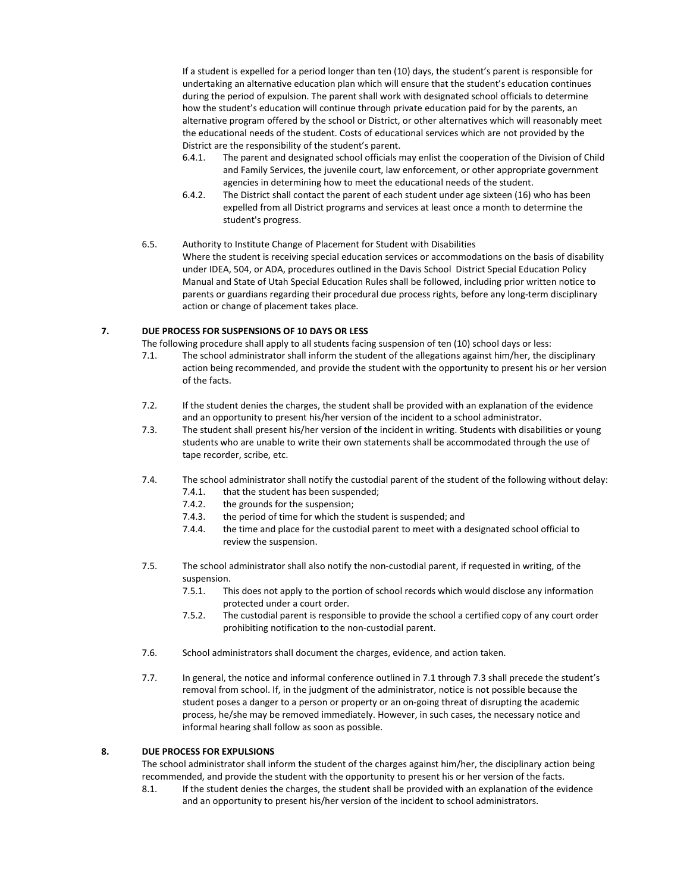If a student is expelled for a period longer than ten (10) days, the student's parent is responsible for undertaking an alternative education plan which will ensure that the student's education continues during the period of expulsion. The parent shall work with designated school officials to determine how the student's education will continue through private education paid for by the parents, an alternative program offered by the school or District, or other alternatives which will reasonably meet the educational needs of the student. Costs of educational services which are not provided by the District are the responsibility of the student's parent.

- 6.4.1. The parent and designated school officials may enlist the cooperation of the Division of Child and Family Services, the juvenile court, law enforcement, or other appropriate government agencies in determining how to meet the educational needs of the student.
- 6.4.2. The District shall contact the parent of each student under age sixteen (16) who has been expelled from all District programs and services at least once a month to determine the student's progress.

#### 6.5. Authority to Institute Change of Placement for Student with Disabilities

Where the student is receiving special education services or accommodations on the basis of disability under IDEA, 504, or ADA, procedures outlined in the Davis School District Special Education Policy Manual and State of Utah Special Education Rules shall be followed, including prior written notice to parents or guardians regarding their procedural due process rights, before any long-term disciplinary action or change of placement takes place.

### **7. DUE PROCESS FOR SUSPENSIONS OF 10 DAYS OR LESS**

The following procedure shall apply to all students facing suspension of ten (10) school days or less:

- 7.1. The school administrator shall inform the student of the allegations against him/her, the disciplinary action being recommended, and provide the student with the opportunity to present his or her version of the facts.
- 7.2. If the student denies the charges, the student shall be provided with an explanation of the evidence and an opportunity to present his/her version of the incident to a school administrator.
- 7.3. The student shall present his/her version of the incident in writing. Students with disabilities or young students who are unable to write their own statements shall be accommodated through the use of tape recorder, scribe, etc.
- 7.4. The school administrator shall notify the custodial parent of the student of the following without delay:
	- 7.4.1. that the student has been suspended;
	- 7.4.2. the grounds for the suspension;
	- 7.4.3. the period of time for which the student is suspended; and
	- 7.4.4. the time and place for the custodial parent to meet with a designated school official to review the suspension.
- 7.5. The school administrator shall also notify the non-custodial parent, if requested in writing, of the suspension.
	- 7.5.1. This does not apply to the portion of school records which would disclose any information protected under a court order.
	- 7.5.2. The custodial parent is responsible to provide the school a certified copy of any court order prohibiting notification to the non-custodial parent.
- 7.6. School administrators shall document the charges, evidence, and action taken.
- 7.7. In general, the notice and informal conference outlined in 7.1 through 7.3 shall precede the student's removal from school. If, in the judgment of the administrator, notice is not possible because the student poses a danger to a person or property or an on-going threat of disrupting the academic process, he/she may be removed immediately. However, in such cases, the necessary notice and informal hearing shall follow as soon as possible.

### **8. DUE PROCESS FOR EXPULSIONS**

The school administrator shall inform the student of the charges against him/her, the disciplinary action being recommended, and provide the student with the opportunity to present his or her version of the facts.

8.1. If the student denies the charges, the student shall be provided with an explanation of the evidence and an opportunity to present his/her version of the incident to school administrators.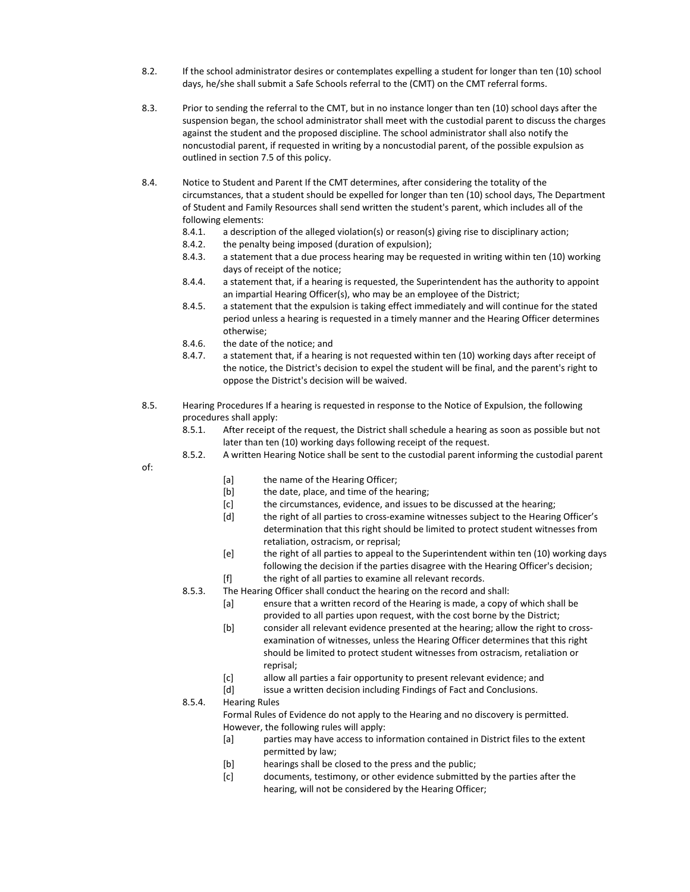- 8.2. If the school administrator desires or contemplates expelling a student for longer than ten (10) school days, he/she shall submit a Safe Schools referral to the (CMT) on the CMT referral forms.
- 8.3. Prior to sending the referral to the CMT, but in no instance longer than ten (10) school days after the suspension began, the school administrator shall meet with the custodial parent to discuss the charges against the student and the proposed discipline. The school administrator shall also notify the noncustodial parent, if requested in writing by a noncustodial parent, of the possible expulsion as outlined in section 7.5 of this policy.
- 8.4. Notice to Student and Parent If the CMT determines, after considering the totality of the circumstances, that a student should be expelled for longer than ten (10) school days, The Department of Student and Family Resources shall send written the student's parent, which includes all of the following elements:
	- 8.4.1. a description of the alleged violation(s) or reason(s) giving rise to disciplinary action;
	- 8.4.2. the penalty being imposed (duration of expulsion);
	- 8.4.3. a statement that a due process hearing may be requested in writing within ten (10) working days of receipt of the notice;
	- 8.4.4. a statement that, if a hearing is requested, the Superintendent has the authority to appoint an impartial Hearing Officer(s), who may be an employee of the District;
	- 8.4.5. a statement that the expulsion is taking effect immediately and will continue for the stated period unless a hearing is requested in a timely manner and the Hearing Officer determines otherwise;
	- 8.4.6. the date of the notice; and
	- 8.4.7. a statement that, if a hearing is not requested within ten (10) working days after receipt of the notice, the District's decision to expel the student will be final, and the parent's right to oppose the District's decision will be waived.
- 8.5. Hearing Procedures If a hearing is requested in response to the Notice of Expulsion, the following procedures shall apply:
	- 8.5.1. After receipt of the request, the District shall schedule a hearing as soon as possible but not later than ten (10) working days following receipt of the request.
	- 8.5.2. A written Hearing Notice shall be sent to the custodial parent informing the custodial parent

of:

- [a] the name of the Hearing Officer;
- [b] the date, place, and time of the hearing;
- [c] the circumstances, evidence, and issues to be discussed at the hearing;
- [d] the right of all parties to cross-examine witnesses subject to the Hearing Officer's determination that this right should be limited to protect student witnesses from retaliation, ostracism, or reprisal;
- [e] the right of all parties to appeal to the Superintendent within ten (10) working days following the decision if the parties disagree with the Hearing Officer's decision;
- [f] the right of all parties to examine all relevant records.
- 8.5.3. The Hearing Officer shall conduct the hearing on the record and shall:
	- [a] ensure that a written record of the Hearing is made, a copy of which shall be provided to all parties upon request, with the cost borne by the District;
	- [b] consider all relevant evidence presented at the hearing; allow the right to crossexamination of witnesses, unless the Hearing Officer determines that this right should be limited to protect student witnesses from ostracism, retaliation or reprisal;
	- [c] allow all parties a fair opportunity to present relevant evidence; and
	- [d] issue a written decision including Findings of Fact and Conclusions.

8.5.4. Hearing Rules

Formal Rules of Evidence do not apply to the Hearing and no discovery is permitted. However, the following rules will apply:

- [a] parties may have access to information contained in District files to the extent permitted by law;
- [b] hearings shall be closed to the press and the public;
- [c] documents, testimony, or other evidence submitted by the parties after the hearing, will not be considered by the Hearing Officer;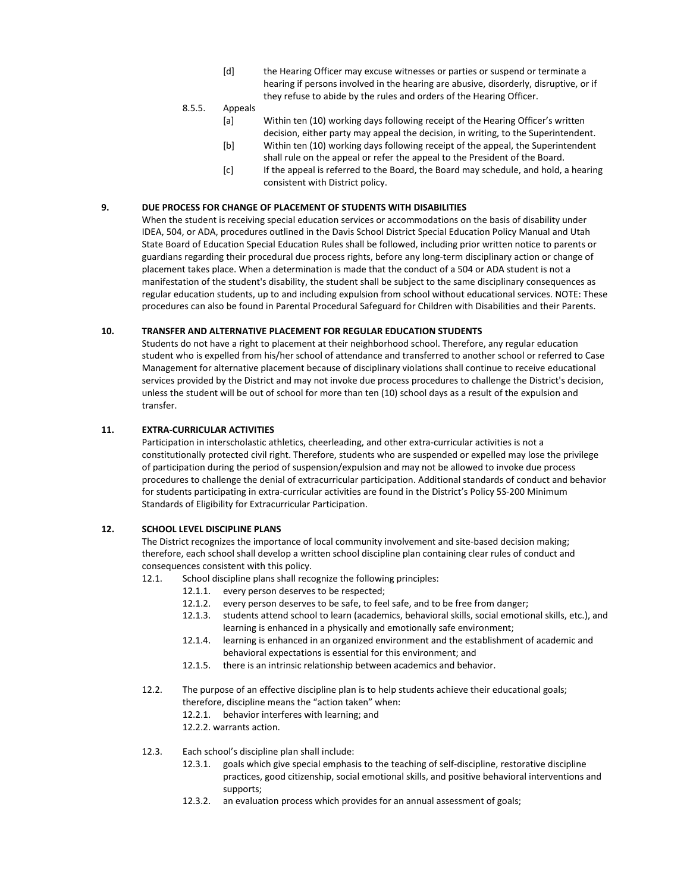- [d] the Hearing Officer may excuse witnesses or parties or suspend or terminate a hearing if persons involved in the hearing are abusive, disorderly, disruptive, or if they refuse to abide by the rules and orders of the Hearing Officer.
- 8.5.5. Appeals
	- [a] Within ten (10) working days following receipt of the Hearing Officer's written decision, either party may appeal the decision, in writing, to the Superintendent.
	- [b] Within ten (10) working days following receipt of the appeal, the Superintendent shall rule on the appeal or refer the appeal to the President of the Board.
	- [c] If the appeal is referred to the Board, the Board may schedule, and hold, a hearing consistent with District policy.

#### **9. DUE PROCESS FOR CHANGE OF PLACEMENT OF STUDENTS WITH DISABILITIES**

When the student is receiving special education services or accommodations on the basis of disability under IDEA, 504, or ADA, procedures outlined in the Davis School District Special Education Policy Manual and Utah State Board of Education Special Education Rules shall be followed, including prior written notice to parents or guardians regarding their procedural due process rights, before any long-term disciplinary action or change of placement takes place. When a determination is made that the conduct of a 504 or ADA student is not a manifestation of the student's disability, the student shall be subject to the same disciplinary consequences as regular education students, up to and including expulsion from school without educational services. NOTE: These procedures can also be found in Parental Procedural Safeguard for Children with Disabilities and their Parents.

#### **10. TRANSFER AND ALTERNATIVE PLACEMENT FOR REGULAR EDUCATION STUDENTS**

Students do not have a right to placement at their neighborhood school. Therefore, any regular education student who is expelled from his/her school of attendance and transferred to another school or referred to Case Management for alternative placement because of disciplinary violations shall continue to receive educational services provided by the District and may not invoke due process procedures to challenge the District's decision, unless the student will be out of school for more than ten (10) school days as a result of the expulsion and transfer.

#### **11. EXTRA-CURRICULAR ACTIVITIES**

Participation in interscholastic athletics, cheerleading, and other extra-curricular activities is not a constitutionally protected civil right. Therefore, students who are suspended or expelled may lose the privilege of participation during the period of suspension/expulsion and may not be allowed to invoke due process procedures to challenge the denial of extracurricular participation. Additional standards of conduct and behavior for students participating in extra-curricular activities are found in the District's Policy 5S-200 Minimum Standards of Eligibility for Extracurricular Participation.

### **12. SCHOOL LEVEL DISCIPLINE PLANS**

The District recognizes the importance of local community involvement and site-based decision making; therefore, each school shall develop a written school discipline plan containing clear rules of conduct and consequences consistent with this policy.

- 12.1. School discipline plans shall recognize the following principles:
	- 12.1.1. every person deserves to be respected;
	- 12.1.2. every person deserves to be safe, to feel safe, and to be free from danger;
	- 12.1.3. students attend school to learn (academics, behavioral skills, social emotional skills, etc.), and learning is enhanced in a physically and emotionally safe environment;
	- 12.1.4. learning is enhanced in an organized environment and the establishment of academic and behavioral expectations is essential for this environment; and
	- 12.1.5. there is an intrinsic relationship between academics and behavior.
- 12.2. The purpose of an effective discipline plan is to help students achieve their educational goals; therefore, discipline means the "action taken" when:
	- 12.2.1. behavior interferes with learning; and
	- 12.2.2. warrants action.

#### 12.3. Each school's discipline plan shall include:

- 12.3.1. goals which give special emphasis to the teaching of self-discipline, restorative discipline practices, good citizenship, social emotional skills, and positive behavioral interventions and supports;
- 12.3.2. an evaluation process which provides for an annual assessment of goals;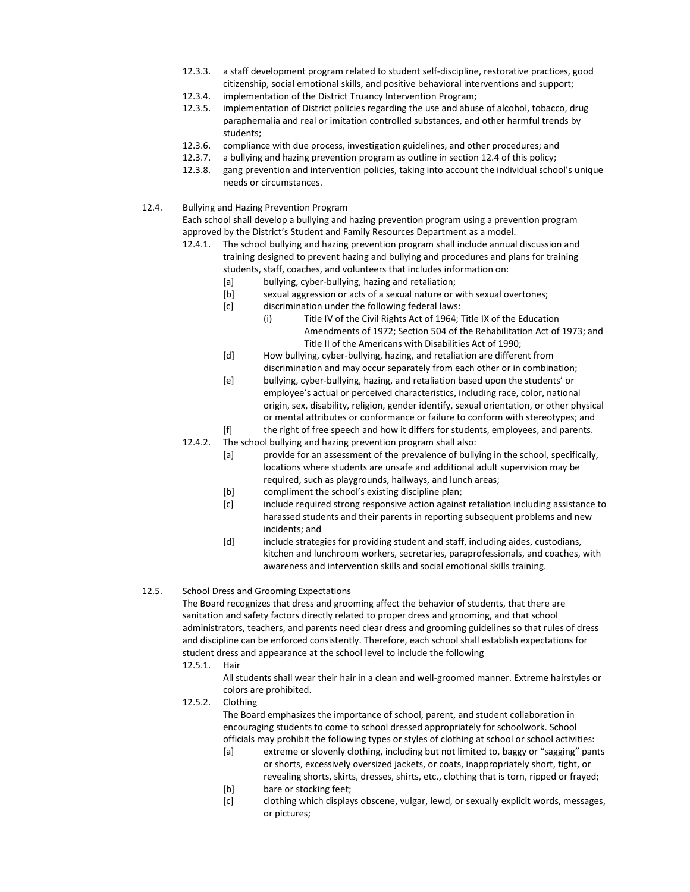- 12.3.3. a staff development program related to student self-discipline, restorative practices, good citizenship, social emotional skills, and positive behavioral interventions and support;
- 12.3.4. implementation of the District Truancy Intervention Program;
- 12.3.5. implementation of District policies regarding the use and abuse of alcohol, tobacco, drug paraphernalia and real or imitation controlled substances, and other harmful trends by students;
- 12.3.6. compliance with due process, investigation guidelines, and other procedures; and
- 12.3.7. a bullying and hazing prevention program as outline in section 12.4 of this policy;
- 12.3.8. gang prevention and intervention policies, taking into account the individual school's unique needs or circumstances.
- 12.4. Bullying and Hazing Prevention Program

Each school shall develop a bullying and hazing prevention program using a prevention program approved by the District's Student and Family Resources Department as a model.

- 12.4.1. The school bullying and hazing prevention program shall include annual discussion and training designed to prevent hazing and bullying and procedures and plans for training students, staff, coaches, and volunteers that includes information on:
	- [a] bullying, cyber-bullying, hazing and retaliation;
	- [b] sexual aggression or acts of a sexual nature or with sexual overtones;
	- [c] discrimination under the following federal laws:
		- (i) Title IV of the Civil Rights Act of 1964; Title IX of the Education Amendments of 1972; Section 504 of the Rehabilitation Act of 1973; and Title II of the Americans with Disabilities Act of 1990;
	- [d] How bullying, cyber-bullying, hazing, and retaliation are different from discrimination and may occur separately from each other or in combination;
	- [e] bullying, cyber-bullying, hazing, and retaliation based upon the students' or employee's actual or perceived characteristics, including race, color, national origin, sex, disability, religion, gender identify, sexual orientation, or other physical or mental attributes or conformance or failure to conform with stereotypes; and
	- [f] the right of free speech and how it differs for students, employees, and parents.
- 12.4.2. The school bullying and hazing prevention program shall also:
	- [a] provide for an assessment of the prevalence of bullying in the school, specifically, locations where students are unsafe and additional adult supervision may be required, such as playgrounds, hallways, and lunch areas;
	- [b] compliment the school's existing discipline plan;
	- [c] include required strong responsive action against retaliation including assistance to harassed students and their parents in reporting subsequent problems and new incidents; and
	- [d] include strategies for providing student and staff, including aides, custodians, kitchen and lunchroom workers, secretaries, paraprofessionals, and coaches, with awareness and intervention skills and social emotional skills training.
- 12.5. School Dress and Grooming Expectations

The Board recognizes that dress and grooming affect the behavior of students, that there are sanitation and safety factors directly related to proper dress and grooming, and that school administrators, teachers, and parents need clear dress and grooming guidelines so that rules of dress and discipline can be enforced consistently. Therefore, each school shall establish expectations for student dress and appearance at the school level to include the following

12.5.1. Hair

All students shall wear their hair in a clean and well-groomed manner. Extreme hairstyles or colors are prohibited.

12.5.2. Clothing

The Board emphasizes the importance of school, parent, and student collaboration in encouraging students to come to school dressed appropriately for schoolwork. School officials may prohibit the following types or styles of clothing at school or school activities:

- [a] extreme or slovenly clothing, including but not limited to, baggy or "sagging" pants or shorts, excessively oversized jackets, or coats, inappropriately short, tight, or revealing shorts, skirts, dresses, shirts, etc., clothing that is torn, ripped or frayed;
- [b] bare or stocking feet;
- [c] clothing which displays obscene, vulgar, lewd, or sexually explicit words, messages, or pictures;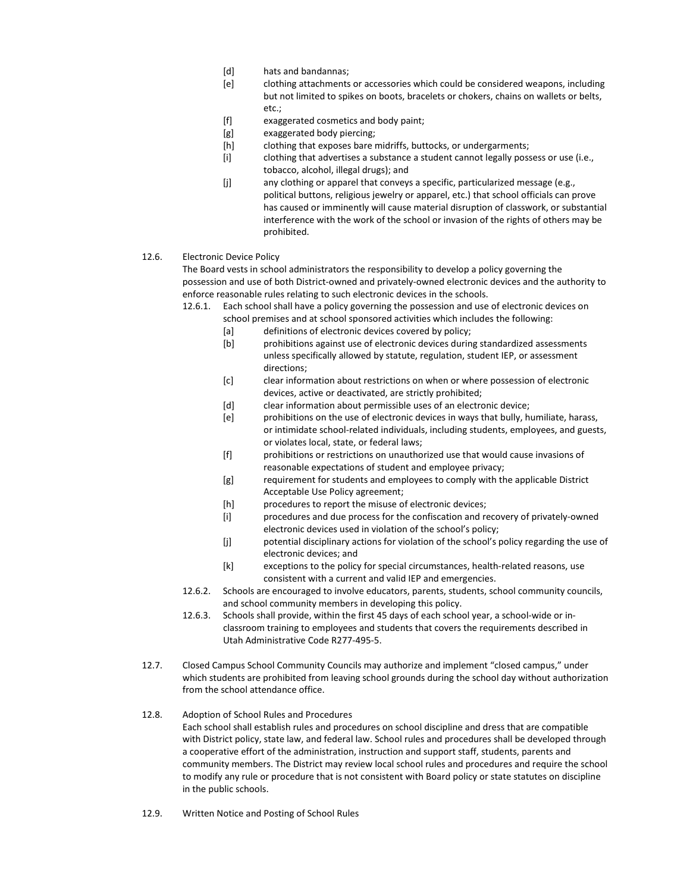- [d] hats and bandannas;
- [e] clothing attachments or accessories which could be considered weapons, including but not limited to spikes on boots, bracelets or chokers, chains on wallets or belts, etc.;
- [f] exaggerated cosmetics and body paint;
- [g] exaggerated body piercing;
- [h] clothing that exposes bare midriffs, buttocks, or undergarments;
- [i] clothing that advertises a substance a student cannot legally possess or use (i.e., tobacco, alcohol, illegal drugs); and
- [j] any clothing or apparel that conveys a specific, particularized message (e.g., political buttons, religious jewelry or apparel, etc.) that school officials can prove has caused or imminently will cause material disruption of classwork, or substantial interference with the work of the school or invasion of the rights of others may be prohibited.
- 12.6. Electronic Device Policy

The Board vests in school administrators the responsibility to develop a policy governing the possession and use of both District-owned and privately-owned electronic devices and the authority to enforce reasonable rules relating to such electronic devices in the schools.

12.6.1. Each school shall have a policy governing the possession and use of electronic devices on school premises and at school sponsored activities which includes the following:

- [a] definitions of electronic devices covered by policy;
- [b] prohibitions against use of electronic devices during standardized assessments unless specifically allowed by statute, regulation, student IEP, or assessment directions;
- [c] clear information about restrictions on when or where possession of electronic devices, active or deactivated, are strictly prohibited;
- [d] clear information about permissible uses of an electronic device;
- [e] prohibitions on the use of electronic devices in ways that bully, humiliate, harass, or intimidate school-related individuals, including students, employees, and guests, or violates local, state, or federal laws;
- [f] prohibitions or restrictions on unauthorized use that would cause invasions of reasonable expectations of student and employee privacy;
- [g] requirement for students and employees to comply with the applicable District Acceptable Use Policy agreement;
- [h] procedures to report the misuse of electronic devices;
- [i] procedures and due process for the confiscation and recovery of privately-owned electronic devices used in violation of the school's policy;
- [j] potential disciplinary actions for violation of the school's policy regarding the use of electronic devices; and
- [k] exceptions to the policy for special circumstances, health-related reasons, use consistent with a current and valid IEP and emergencies.
- 12.6.2. Schools are encouraged to involve educators, parents, students, school community councils, and school community members in developing this policy.
- 12.6.3. Schools shall provide, within the first 45 days of each school year, a school-wide or inclassroom training to employees and students that covers the requirements described in Utah Administrative Code R277-495-5.
- 12.7. Closed Campus School Community Councils may authorize and implement "closed campus," under which students are prohibited from leaving school grounds during the school day without authorization from the school attendance office.
- 12.8. Adoption of School Rules and Procedures Each school shall establish rules and procedures on school discipline and dress that are compatible with District policy, state law, and federal law. School rules and procedures shall be developed through a cooperative effort of the administration, instruction and support staff, students, parents and community members. The District may review local school rules and procedures and require the school to modify any rule or procedure that is not consistent with Board policy or state statutes on discipline in the public schools.
- 12.9. Written Notice and Posting of School Rules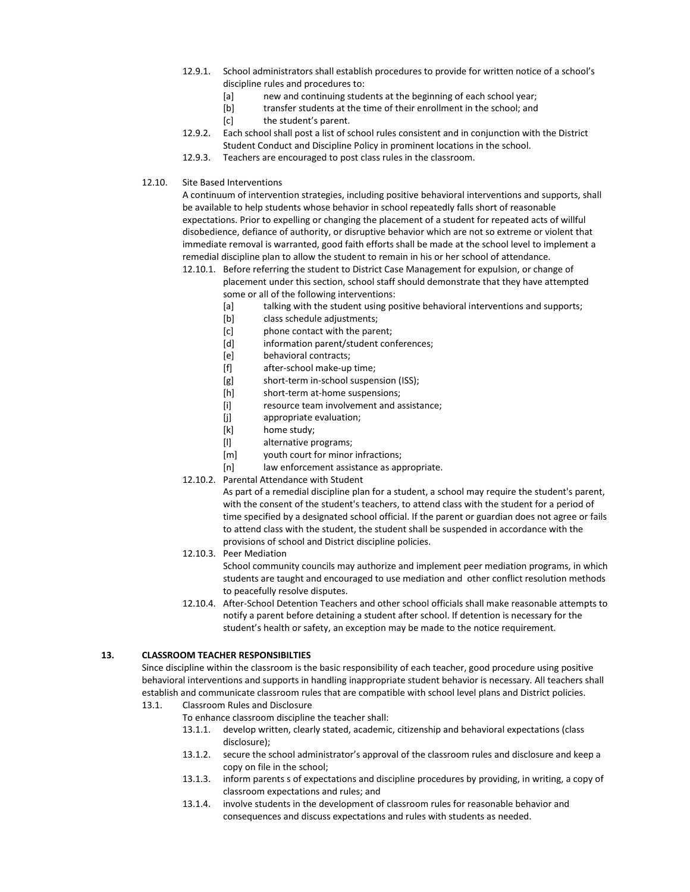- 12.9.1. School administrators shall establish procedures to provide for written notice of a school's discipline rules and procedures to:
	- [a] new and continuing students at the beginning of each school year;
	- [b] transfer students at the time of their enrollment in the school; and
	- [c] the student's parent.
- 12.9.2. Each school shall post a list of school rules consistent and in conjunction with the District Student Conduct and Discipline Policy in prominent locations in the school.
- 12.9.3. Teachers are encouraged to post class rules in the classroom.
- 12.10. Site Based Interventions

A continuum of intervention strategies, including positive behavioral interventions and supports, shall be available to help students whose behavior in school repeatedly falls short of reasonable expectations. Prior to expelling or changing the placement of a student for repeated acts of willful disobedience, defiance of authority, or disruptive behavior which are not so extreme or violent that immediate removal is warranted, good faith efforts shall be made at the school level to implement a remedial discipline plan to allow the student to remain in his or her school of attendance.

- 12.10.1. Before referring the student to District Case Management for expulsion, or change of placement under this section, school staff should demonstrate that they have attempted some or all of the following interventions:
	- [a] talking with the student using positive behavioral interventions and supports;
	- [b] class schedule adjustments;
	- [c] phone contact with the parent;
	- [d] information parent/student conferences;
	- [e] behavioral contracts;
	- [f] after-school make-up time;
	- [g] short-term in-school suspension (ISS);
	- [h] short-term at-home suspensions:
	- [i] resource team involvement and assistance;
	- [j] appropriate evaluation;
	- [k] home study;
	- [l] alternative programs;
	- [m] vouth court for minor infractions;
	- [n] law enforcement assistance as appropriate.
- 12.10.2. Parental Attendance with Student

As part of a remedial discipline plan for a student, a school may require the student's parent, with the consent of the student's teachers, to attend class with the student for a period of time specified by a designated school official. If the parent or guardian does not agree or fails to attend class with the student, the student shall be suspended in accordance with the provisions of school and District discipline policies.

12.10.3. Peer Mediation

School community councils may authorize and implement peer mediation programs, in which students are taught and encouraged to use mediation and other conflict resolution methods to peacefully resolve disputes.

12.10.4. After-School Detention Teachers and other school officials shall make reasonable attempts to notify a parent before detaining a student after school. If detention is necessary for the student's health or safety, an exception may be made to the notice requirement.

### **13. CLASSROOM TEACHER RESPONSIBILTIES**

Since discipline within the classroom is the basic responsibility of each teacher, good procedure using positive behavioral interventions and supports in handling inappropriate student behavior is necessary. All teachers shall establish and communicate classroom rules that are compatible with school level plans and District policies. 13.1. Classroom Rules and Disclosure

- To enhance classroom discipline the teacher shall:
	- 13.1.1. develop written, clearly stated, academic, citizenship and behavioral expectations (class disclosure);
	- 13.1.2. secure the school administrator's approval of the classroom rules and disclosure and keep a copy on file in the school;
	- 13.1.3. inform parents s of expectations and discipline procedures by providing, in writing, a copy of classroom expectations and rules; and
	- 13.1.4. involve students in the development of classroom rules for reasonable behavior and consequences and discuss expectations and rules with students as needed.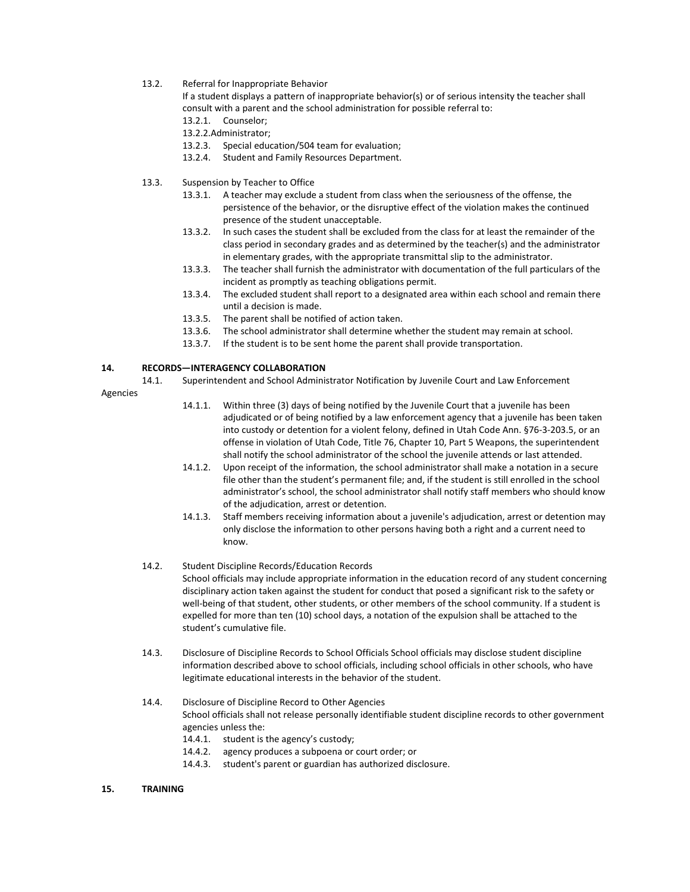13.2. Referral for Inappropriate Behavior

If a student displays a pattern of inappropriate behavior(s) or of serious intensity the teacher shall consult with a parent and the school administration for possible referral to:

- 13.2.1. Counselor;
- 13.2.2.Administrator;
- 13.2.3. Special education/504 team for evaluation;
- 13.2.4. Student and Family Resources Department.
- 13.3. Suspension by Teacher to Office
	- 13.3.1. A teacher may exclude a student from class when the seriousness of the offense, the persistence of the behavior, or the disruptive effect of the violation makes the continued presence of the student unacceptable.
	- 13.3.2. In such cases the student shall be excluded from the class for at least the remainder of the class period in secondary grades and as determined by the teacher(s) and the administrator in elementary grades, with the appropriate transmittal slip to the administrator.
	- 13.3.3. The teacher shall furnish the administrator with documentation of the full particulars of the incident as promptly as teaching obligations permit.
	- 13.3.4. The excluded student shall report to a designated area within each school and remain there until a decision is made.
	- 13.3.5. The parent shall be notified of action taken.
	- 13.3.6. The school administrator shall determine whether the student may remain at school.
	- 13.3.7. If the student is to be sent home the parent shall provide transportation.

#### **14. RECORDS—INTERAGENCY COLLABORATION**

14.1. Superintendent and School Administrator Notification by Juvenile Court and Law Enforcement

#### Agencies

- 14.1.1. Within three (3) days of being notified by the Juvenile Court that a juvenile has been adjudicated or of being notified by a law enforcement agency that a juvenile has been taken into custody or detention for a violent felony, defined in Utah Code Ann. §76-3-203.5, or an offense in violation of Utah Code, Title 76, Chapter 10, Part 5 Weapons, the superintendent shall notify the school administrator of the school the juvenile attends or last attended.
- 14.1.2. Upon receipt of the information, the school administrator shall make a notation in a secure file other than the student's permanent file; and, if the student is still enrolled in the school administrator's school, the school administrator shall notify staff members who should know of the adjudication, arrest or detention.
- 14.1.3. Staff members receiving information about a juvenile's adjudication, arrest or detention may only disclose the information to other persons having both a right and a current need to know.
- 14.2. Student Discipline Records/Education Records

School officials may include appropriate information in the education record of any student concerning disciplinary action taken against the student for conduct that posed a significant risk to the safety or well-being of that student, other students, or other members of the school community. If a student is expelled for more than ten (10) school days, a notation of the expulsion shall be attached to the student's cumulative file.

- 14.3. Disclosure of Discipline Records to School Officials School officials may disclose student discipline information described above to school officials, including school officials in other schools, who have legitimate educational interests in the behavior of the student.
- 14.4. Disclosure of Discipline Record to Other Agencies School officials shall not release personally identifiable student discipline records to other government agencies unless the: 14.4.1. student is the agency's custody;
	- 14.4.2. agency produces a subpoena or court order; or
	- 14.4.3. student's parent or guardian has authorized disclosure.

#### **15. TRAINING**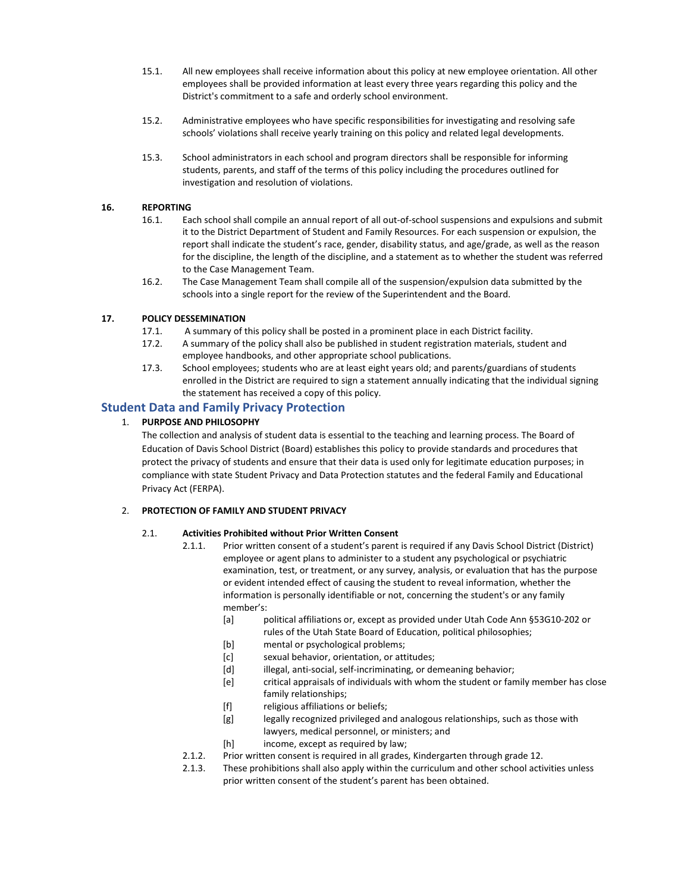- 15.1. All new employees shall receive information about this policy at new employee orientation. All other employees shall be provided information at least every three years regarding this policy and the District's commitment to a safe and orderly school environment.
- 15.2. Administrative employees who have specific responsibilities for investigating and resolving safe schools' violations shall receive yearly training on this policy and related legal developments.
- 15.3. School administrators in each school and program directors shall be responsible for informing students, parents, and staff of the terms of this policy including the procedures outlined for investigation and resolution of violations.

### **16. REPORTING**

- 16.1. Each school shall compile an annual report of all out-of-school suspensions and expulsions and submit it to the District Department of Student and Family Resources. For each suspension or expulsion, the report shall indicate the student's race, gender, disability status, and age/grade, as well as the reason for the discipline, the length of the discipline, and a statement as to whether the student was referred to the Case Management Team.
- 16.2. The Case Management Team shall compile all of the suspension/expulsion data submitted by the schools into a single report for the review of the Superintendent and the Board.

### **17. POLICY DESSEMINATION**

- 17.1. A summary of this policy shall be posted in a prominent place in each District facility.
- 17.2. A summary of the policy shall also be published in student registration materials, student and employee handbooks, and other appropriate school publications.
- 17.3. School employees; students who are at least eight years old; and parents/guardians of students enrolled in the District are required to sign a statement annually indicating that the individual signing the statement has received a copy of this policy.

## **Student Data and Family Privacy Protection**

### 1. **PURPOSE AND PHILOSOPHY**

The collection and analysis of student data is essential to the teaching and learning process. The Board of Education of Davis School District (Board) establishes this policy to provide standards and procedures that protect the privacy of students and ensure that their data is used only for legitimate education purposes; in compliance with state Student Privacy and Data Protection statutes and the federal Family and Educational Privacy Act (FERPA).

### 2. **PROTECTION OF FAMILY AND STUDENT PRIVACY**

#### 2.1. **Activities Prohibited without Prior Written Consent**

- 2.1.1. Prior written consent of a student's parent is required if any Davis School District (District) employee or agent plans to administer to a student any psychological or psychiatric examination, test, or treatment, or any survey, analysis, or evaluation that has the purpose or evident intended effect of causing the student to reveal information, whether the information is personally identifiable or not, concerning the student's or any family member's:
	- [a] political affiliations or, except as provided under Utah Code Ann §53G10-202 or rules of the Utah State Board of Education, political philosophies;
	- [b] mental or psychological problems;
	- [c] sexual behavior, orientation, or attitudes;
	- [d] illegal, anti-social, self-incriminating, or demeaning behavior;
	- [e] critical appraisals of individuals with whom the student or family member has close family relationships;
	- [f] religious affiliations or beliefs;
	- [g] legally recognized privileged and analogous relationships, such as those with lawyers, medical personnel, or ministers; and
	- [h] income, except as required by law;
- 2.1.2. Prior written consent is required in all grades, Kindergarten through grade 12.
- 2.1.3. These prohibitions shall also apply within the curriculum and other school activities unless prior written consent of the student's parent has been obtained.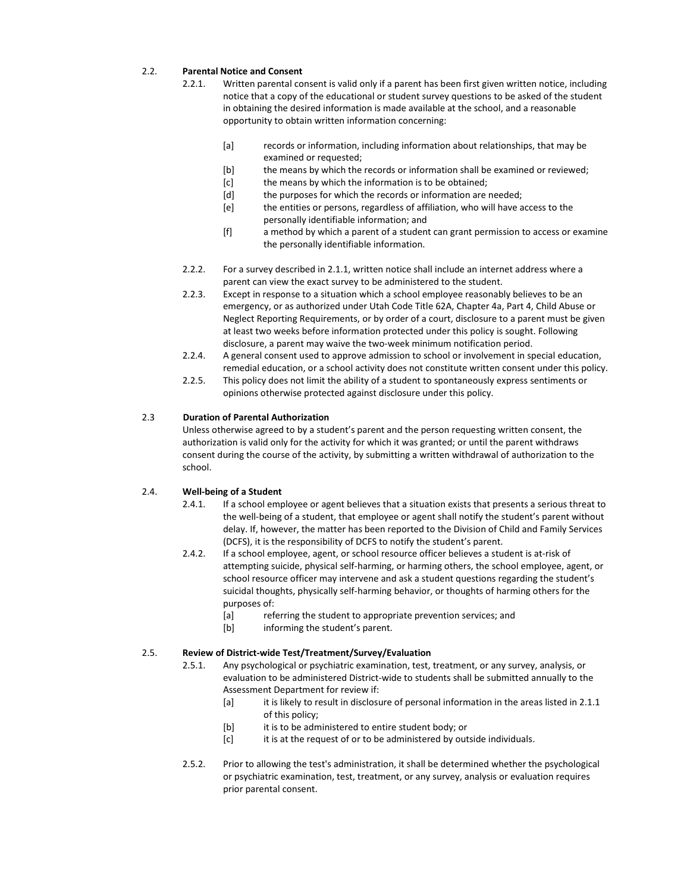#### 2.2. **Parental Notice and Consent**

- 2.2.1. Written parental consent is valid only if a parent has been first given written notice, including notice that a copy of the educational or student survey questions to be asked of the student in obtaining the desired information is made available at the school, and a reasonable opportunity to obtain written information concerning:
	- [a] records or information, including information about relationships, that may be examined or requested;
	- [b] the means by which the records or information shall be examined or reviewed:
	- [c] the means by which the information is to be obtained;
	- [d] the purposes for which the records or information are needed;
	- [e] the entities or persons, regardless of affiliation, who will have access to the personally identifiable information; and
	- [f] a method by which a parent of a student can grant permission to access or examine the personally identifiable information.
- 2.2.2. For a survey described in 2.1.1, written notice shall include an internet address where a parent can view the exact survey to be administered to the student.
- 2.2.3. Except in response to a situation which a school employee reasonably believes to be an emergency, or as authorized under Utah Code Title 62A, Chapter 4a, Part 4, Child Abuse or Neglect Reporting Requirements, or by order of a court, disclosure to a parent must be given at least two weeks before information protected under this policy is sought. Following disclosure, a parent may waive the two-week minimum notification period.
- 2.2.4. A general consent used to approve admission to school or involvement in special education, remedial education, or a school activity does not constitute written consent under this policy.
- 2.2.5. This policy does not limit the ability of a student to spontaneously express sentiments or opinions otherwise protected against disclosure under this policy.

#### 2.3 **Duration of Parental Authorization**

Unless otherwise agreed to by a student's parent and the person requesting written consent, the authorization is valid only for the activity for which it was granted; or until the parent withdraws consent during the course of the activity, by submitting a written withdrawal of authorization to the school.

#### 2.4. **Well-being of a Student**

- 2.4.1. If a school employee or agent believes that a situation exists that presents a serious threat to the well-being of a student, that employee or agent shall notify the student's parent without delay. If, however, the matter has been reported to the Division of Child and Family Services (DCFS), it is the responsibility of DCFS to notify the student's parent.
- 2.4.2. If a school employee, agent, or school resource officer believes a student is at-risk of attempting suicide, physical self-harming, or harming others, the school employee, agent, or school resource officer may intervene and ask a student questions regarding the student's suicidal thoughts, physically self-harming behavior, or thoughts of harming others for the purposes of:
	- [a] referring the student to appropriate prevention services; and
	- [b] informing the student's parent.

#### 2.5. **Review of District-wide Test/Treatment/Survey/Evaluation**

- 2.5.1. Any psychological or psychiatric examination, test, treatment, or any survey, analysis, or evaluation to be administered District-wide to students shall be submitted annually to the Assessment Department for review if:
	- [a] it is likely to result in disclosure of personal information in the areas listed in 2.1.1 of this policy;
	- [b] it is to be administered to entire student body; or
	- [c] it is at the request of or to be administered by outside individuals.
- 2.5.2. Prior to allowing the test's administration, it shall be determined whether the psychological or psychiatric examination, test, treatment, or any survey, analysis or evaluation requires prior parental consent.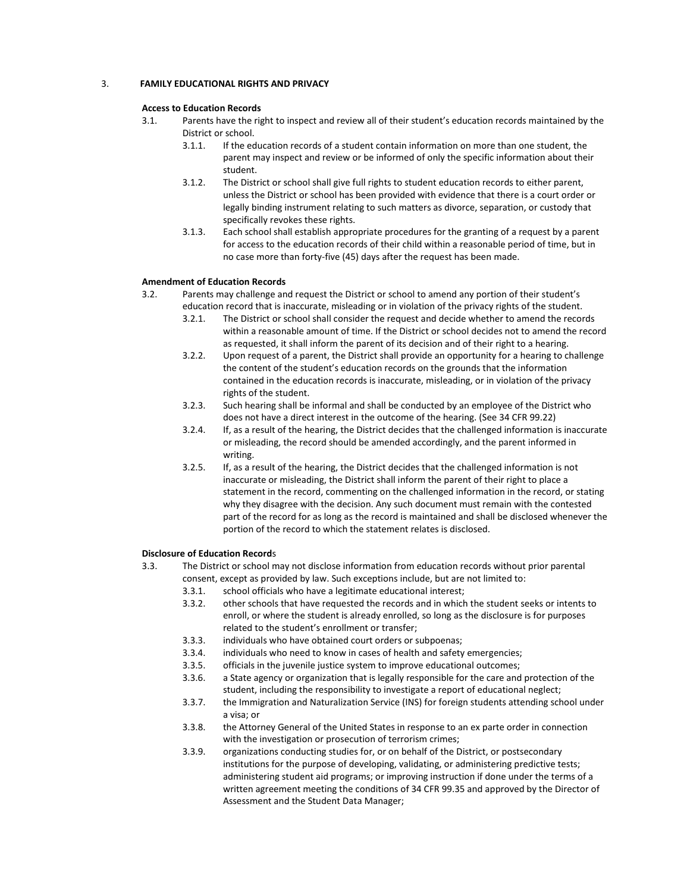#### 3. **FAMILY EDUCATIONAL RIGHTS AND PRIVACY**

#### **Access to Education Records**

- 3.1. Parents have the right to inspect and review all of their student's education records maintained by the District or school.
	- 3.1.1. If the education records of a student contain information on more than one student, the parent may inspect and review or be informed of only the specific information about their student.
	- 3.1.2. The District or school shall give full rights to student education records to either parent, unless the District or school has been provided with evidence that there is a court order or legally binding instrument relating to such matters as divorce, separation, or custody that specifically revokes these rights.
	- 3.1.3. Each school shall establish appropriate procedures for the granting of a request by a parent for access to the education records of their child within a reasonable period of time, but in no case more than forty-five (45) days after the request has been made.

#### **Amendment of Education Records**

- 3.2. Parents may challenge and request the District or school to amend any portion of their student's education record that is inaccurate, misleading or in violation of the privacy rights of the student.
	- 3.2.1. The District or school shall consider the request and decide whether to amend the records within a reasonable amount of time. If the District or school decides not to amend the record as requested, it shall inform the parent of its decision and of their right to a hearing.
	- 3.2.2. Upon request of a parent, the District shall provide an opportunity for a hearing to challenge the content of the student's education records on the grounds that the information contained in the education records is inaccurate, misleading, or in violation of the privacy rights of the student.
	- 3.2.3. Such hearing shall be informal and shall be conducted by an employee of the District who does not have a direct interest in the outcome of the hearing. (See 34 CFR 99.22)
	- 3.2.4. If, as a result of the hearing, the District decides that the challenged information is inaccurate or misleading, the record should be amended accordingly, and the parent informed in writing.
	- 3.2.5. If, as a result of the hearing, the District decides that the challenged information is not inaccurate or misleading, the District shall inform the parent of their right to place a statement in the record, commenting on the challenged information in the record, or stating why they disagree with the decision. Any such document must remain with the contested part of the record for as long as the record is maintained and shall be disclosed whenever the portion of the record to which the statement relates is disclosed.

#### **Disclosure of Education Record**s

- 3.3. The District or school may not disclose information from education records without prior parental consent, except as provided by law. Such exceptions include, but are not limited to:
	- 3.3.1. school officials who have a legitimate educational interest;
	- 3.3.2. other schools that have requested the records and in which the student seeks or intents to enroll, or where the student is already enrolled, so long as the disclosure is for purposes related to the student's enrollment or transfer;
	- 3.3.3. individuals who have obtained court orders or subpoenas;
	- 3.3.4. individuals who need to know in cases of health and safety emergencies;
	- 3.3.5. officials in the juvenile justice system to improve educational outcomes;
	- 3.3.6. a State agency or organization that is legally responsible for the care and protection of the student, including the responsibility to investigate a report of educational neglect;
	- 3.3.7. the Immigration and Naturalization Service (INS) for foreign students attending school under a visa; or
	- 3.3.8. the Attorney General of the United States in response to an ex parte order in connection with the investigation or prosecution of terrorism crimes;
	- 3.3.9. organizations conducting studies for, or on behalf of the District, or postsecondary institutions for the purpose of developing, validating, or administering predictive tests; administering student aid programs; or improving instruction if done under the terms of a written agreement meeting the conditions of 34 CFR 99.35 and approved by the Director of Assessment and the Student Data Manager;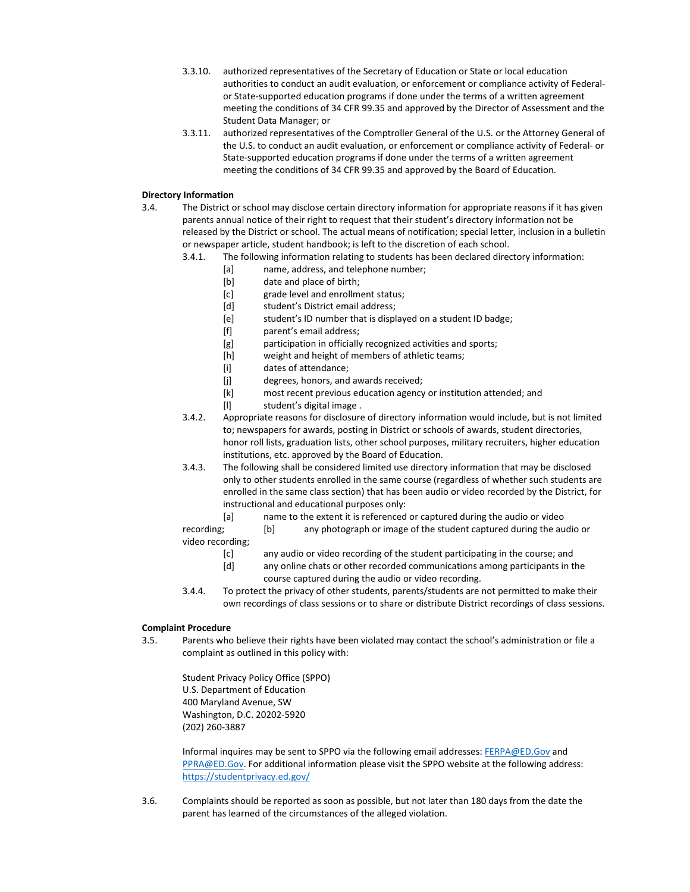- 3.3.10. authorized representatives of the Secretary of Education or State or local education authorities to conduct an audit evaluation, or enforcement or compliance activity of Federalor State-supported education programs if done under the terms of a written agreement meeting the conditions of 34 CFR 99.35 and approved by the Director of Assessment and the Student Data Manager; or
- 3.3.11. authorized representatives of the Comptroller General of the U.S. or the Attorney General of the U.S. to conduct an audit evaluation, or enforcement or compliance activity of Federal- or State-supported education programs if done under the terms of a written agreement meeting the conditions of 34 CFR 99.35 and approved by the Board of Education.

#### **Directory Information**

- 3.4. The District or school may disclose certain directory information for appropriate reasons if it has given parents annual notice of their right to request that their student's directory information not be released by the District or school. The actual means of notification; special letter, inclusion in a bulletin or newspaper article, student handbook; is left to the discretion of each school.
	- 3.4.1. The following information relating to students has been declared directory information:
		- [a] name, address, and telephone number;
		- [b] date and place of birth;
		- [c] grade level and enrollment status;
		- [d] student's District email address;
		- [e] student's ID number that is displayed on a student ID badge;
		- [f] parent's email address;
		- [g] participation in officially recognized activities and sports;
		- [h] weight and height of members of athletic teams;
		- [i] dates of attendance;
		- [i] degrees, honors, and awards received;
		- [k] most recent previous education agency or institution attended; and
		- [l] student's digital image .
	- 3.4.2. Appropriate reasons for disclosure of directory information would include, but is not limited to; newspapers for awards, posting in District or schools of awards, student directories, honor roll lists, graduation lists, other school purposes, military recruiters, higher education institutions, etc. approved by the Board of Education.
	- 3.4.3. The following shall be considered limited use directory information that may be disclosed only to other students enrolled in the same course (regardless of whether such students are enrolled in the same class section) that has been audio or video recorded by the District, for instructional and educational purposes only:
		- [a] name to the extent it is referenced or captured during the audio or video
	- recording; [b] any photograph or image of the student captured during the audio or video recording;
		- [c] any audio or video recording of the student participating in the course; and
		- [d] any online chats or other recorded communications among participants in the course captured during the audio or video recording.
	- 3.4.4. To protect the privacy of other students, parents/students are not permitted to make their own recordings of class sessions or to share or distribute District recordings of class sessions.

#### **Complaint Procedure**

3.5. Parents who believe their rights have been violated may contact the school's administration or file a complaint as outlined in this policy with:

Student Privacy Policy Office (SPPO) U.S. Department of Education 400 Maryland Avenue, SW Washington, D.C. 20202-5920 (202) 260-3887

Informal inquires may be sent to SPPO via the following email addresses[: FERPA@ED.Gov](mailto:FERPA@ED.Gov) and [PPRA@ED.Gov.](mailto:PPRA@ED.Gov) For additional information please visit the SPPO website at the following address: <https://studentprivacy.ed.gov/>

3.6. Complaints should be reported as soon as possible, but not later than 180 days from the date the parent has learned of the circumstances of the alleged violation.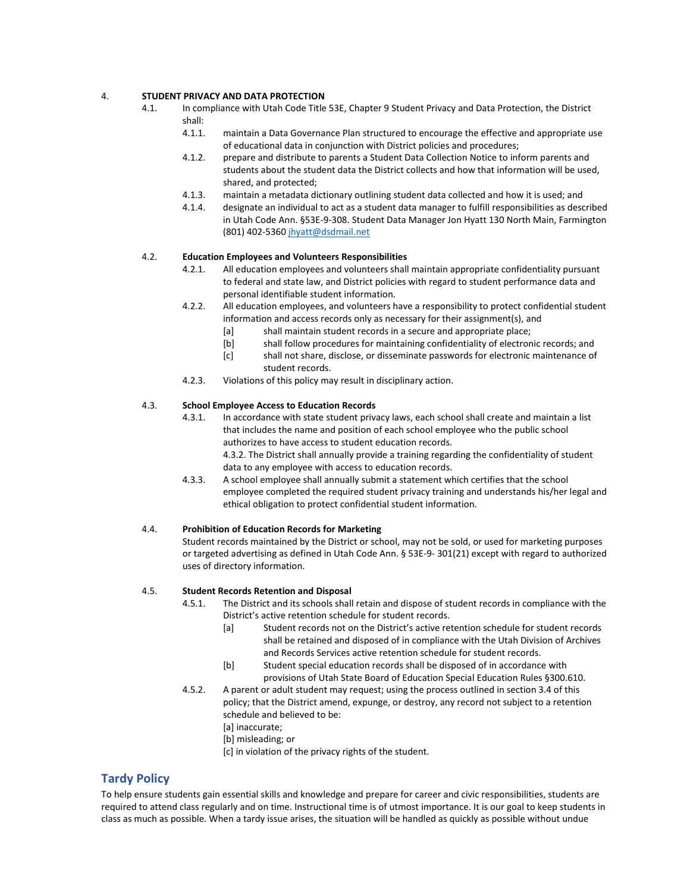#### 4. **STUDENT PRIVACY AND DATA PROTECTION**

- 4.1. In compliance with Utah Code Title 53E, Chapter 9 Student Privacy and Data Protection, the District shall:
	- 4.1.1. maintain a Data Governance Plan structured to encourage the effective and appropriate use of educational data in conjunction with District policies and procedures;
	- 4.1.2. prepare and distribute to parents a Student Data Collection Notice to inform parents and students about the student data the District collects and how that information will be used, shared, and protected;
	- 4.1.3. maintain a metadata dictionary outlining student data collected and how it is used; and
	- 4.1.4. designate an individual to act as a student data manager to fulfill responsibilities as described in Utah Code Ann. §53E-9-308. Student Data Manager Jon Hyatt 130 North Main, Farmington (801) 402-5360 [jhyatt@dsdmail.net](mailto:jhyatt@dsdmail.net)

#### 4.2. **Education Employees and Volunteers Responsibilities**

- 4.2.1. All education employees and volunteers shall maintain appropriate confidentiality pursuant to federal and state law, and District policies with regard to student performance data and personal identifiable student information.
- 4.2.2. All education employees, and volunteers have a responsibility to protect confidential student information and access records only as necessary for their assignment(s), and
	- [a] shall maintain student records in a secure and appropriate place;
	- [b] shall follow procedures for maintaining confidentiality of electronic records; and
	- [c] shall not share, disclose, or disseminate passwords for electronic maintenance of student records.
- 4.2.3. Violations of this policy may result in disciplinary action.

#### 4.3. **School Employee Access to Education Records**

4.3.1. In accordance with state student privacy laws, each school shall create and maintain a list that includes the name and position of each school employee who the public school authorizes to have access to student education records.

4.3.2. The District shall annually provide a training regarding the confidentiality of student data to any employee with access to education records.

4.3.3. A school employee shall annually submit a statement which certifies that the school employee completed the required student privacy training and understands his/her legal and ethical obligation to protect confidential student information.

#### 4.4. **Prohibition of Education Records for Marketing**

Student records maintained by the District or school, may not be sold, or used for marketing purposes or targeted advertising as defined in Utah Code Ann. § 53E-9- 301(21) except with regard to authorized uses of directory information.

#### 4.5. **Student Records Retention and Disposal**

- 4.5.1. The District and its schools shall retain and dispose of student records in compliance with the District's active retention schedule for student records.
	- [a] Student records not on the District's active retention schedule for student records shall be retained and disposed of in compliance with the Utah Division of Archives and Records Services active retention schedule for student records.
	- [b] Student special education records shall be disposed of in accordance with provisions of Utah State Board of Education Special Education Rules §300.610.
- 4.5.2. A parent or adult student may request; using the process outlined in section 3.4 of this policy; that the District amend, expunge, or destroy, any record not subject to a retention schedule and believed to be:
	- [a] inaccurate;
	- [b] misleading; or
	- [c] in violation of the privacy rights of the student.

## **Tardy Policy**

To help ensure students gain essential skills and knowledge and prepare for career and civic responsibilities, students are required to attend class regularly and on time. Instructional time is of utmost importance. It is our goal to keep students in class as much as possible. When a tardy issue arises, the situation will be handled as quickly as possible without undue